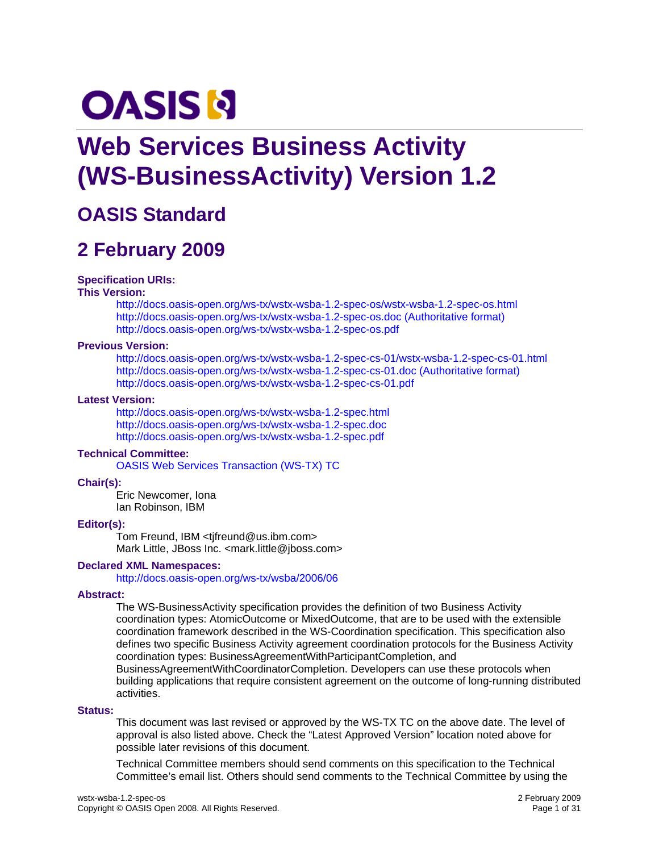# **OASIS N**

# **Web Services Business Activity (WS-BusinessActivity) Version 1.2**

# **OASIS Standard**

# **2 February 2009**

### **Specification URIs:**

### **This Version:**

<http://docs.oasis-open.org/ws-tx/wstx-wsba-1.2-spec-os/wstx-wsba-1.2-spec-os.html> [http://docs.oasis-open.org/ws-tx/wstx-wsba-1.2-spec-os.doc \(Authoritative format\)](http://docs.oasis-open.org/ws-tx/wstx-wsba-1.2-spec-os.doc)  <http://docs.oasis-open.org/ws-tx/wstx-wsba-1.2-spec-os.pdf>

### **Previous Version:**

<http://docs.oasis-open.org/ws-tx/wstx-wsba-1.2-spec-cs-01/wstx-wsba-1.2-spec-cs-01.html> [http://docs.oasis-open.org/ws-tx/wstx-wsba-1.2-spec-cs-01.doc \(Authoritative format\)](http://docs.oasis-open.org/ws-tx/wstx-wsba-1.2-spec-cs-01.doc)  <http://docs.oasis-open.org/ws-tx/wstx-wsba-1.2-spec-cs-01.pdf>

### **Latest Version:**

<http://docs.oasis-open.org/ws-tx/wstx-wsba-1.2-spec.html> <http://docs.oasis-open.org/ws-tx/wstx-wsba-1.2-spec.doc> <http://docs.oasis-open.org/ws-tx/wstx-wsba-1.2-spec.pdf>

### **Technical Committee:**

[OASIS Web Services Transaction \(WS-TX\) TC](http://www.oasis-open.org/committees/ws-tx)

### **Chair(s):**

Eric Newcomer, Iona Ian Robinson, IBM

### **Editor(s):**

Tom Freund, IBM <tjfreund@us.ibm.com> Mark Little, JBoss Inc. <mark.little@jboss.com>

### **Declared XML Namespaces:**

<http://docs.oasis-open.org/ws-tx/wsba/2006/06>

### **Abstract:**

The WS-BusinessActivity specification provides the definition of two Business Activity coordination types: AtomicOutcome or MixedOutcome, that are to be used with the extensible coordination framework described in the WS-Coordination specification. This specification also defines two specific Business Activity agreement coordination protocols for the Business Activity coordination types: BusinessAgreementWithParticipantCompletion, and BusinessAgreementWithCoordinatorCompletion. Developers can use these protocols when building applications that require consistent agreement on the outcome of long-running distributed

activities.

### **Status:**

This document was last revised or approved by the WS-TX TC on the above date. The level of approval is also listed above. Check the "Latest Approved Version" location noted above for possible later revisions of this document.

Technical Committee members should send comments on this specification to the Technical Committee's email list. Others should send comments to the Technical Committee by using the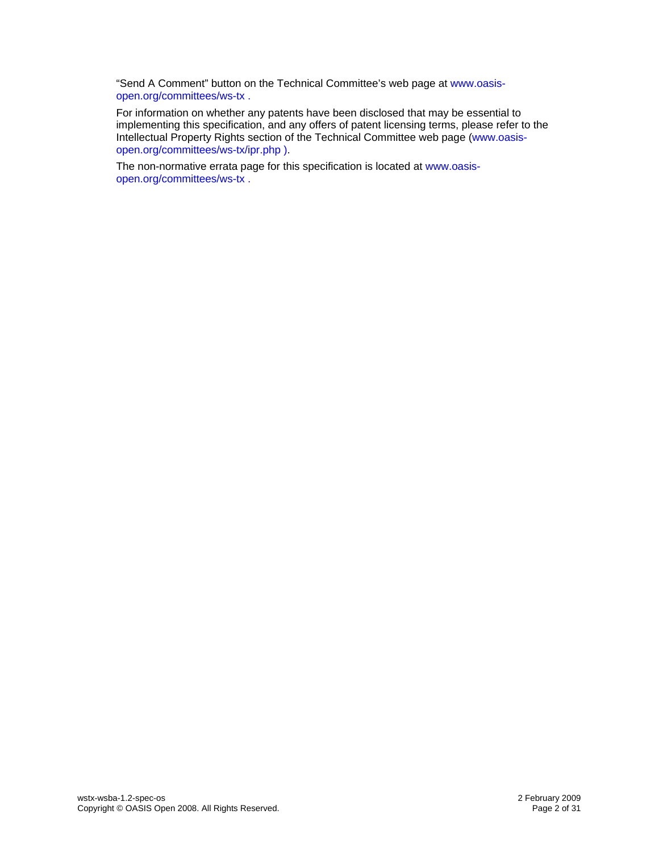"Send A Comment" button on the Technical Committee's web page at [www.oasis](http://www.oasis-open.org/committees/ws-tx)[open.org/committees/ws-tx](http://www.oasis-open.org/committees/ws-tx) .

For information on whether any patents have been disclosed that may be essential to implementing this specification, and any offers of patent licensing terms, please refer to the Intellectual Property Rights section of the Technical Committee web page ([www.oasis](http://www.oasis-open.org/committees/ws-tx/ipr.php)[open.org/committees/ws-tx/ipr.php](http://www.oasis-open.org/committees/ws-tx/ipr.php) ).

The non-normative errata page for this specification is located at [www.oasis](http://www.oasis-open.org/committees/ws-tx)[open.org/committees/ws-tx](http://www.oasis-open.org/committees/ws-tx) .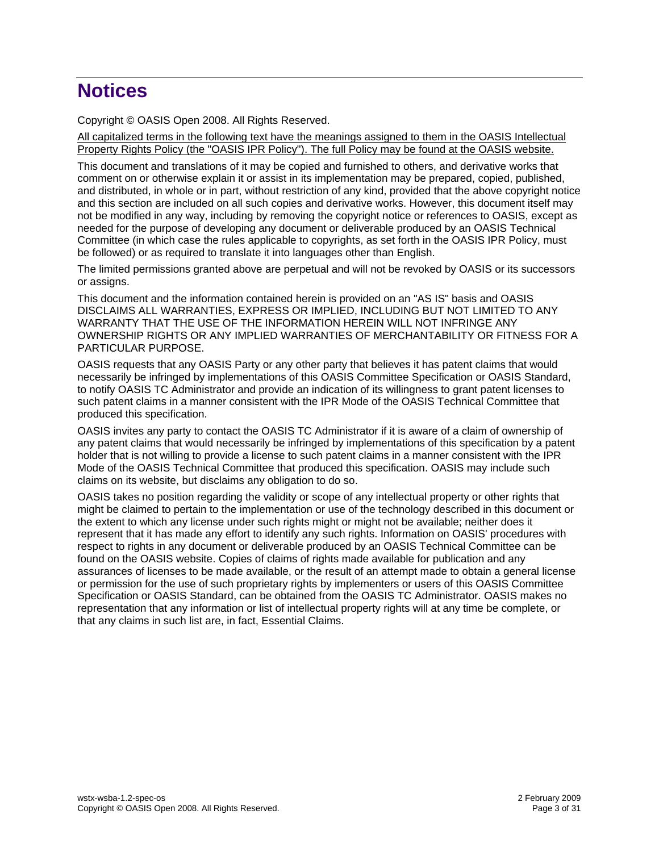# **Notices**

Copyright © OASIS Open 2008. All Rights Reserved.

All capitalized terms in the following text have the meanings assigned to them in the OASIS Intellectual Property Rights Policy (the "OASIS IPR Policy"). The full Policy may be found at the OASIS website.

This document and translations of it may be copied and furnished to others, and derivative works that comment on or otherwise explain it or assist in its implementation may be prepared, copied, published, and distributed, in whole or in part, without restriction of any kind, provided that the above copyright notice and this section are included on all such copies and derivative works. However, this document itself may not be modified in any way, including by removing the copyright notice or references to OASIS, except as needed for the purpose of developing any document or deliverable produced by an OASIS Technical Committee (in which case the rules applicable to copyrights, as set forth in the OASIS IPR Policy, must be followed) or as required to translate it into languages other than English.

The limited permissions granted above are perpetual and will not be revoked by OASIS or its successors or assigns.

This document and the information contained herein is provided on an "AS IS" basis and OASIS DISCLAIMS ALL WARRANTIES, EXPRESS OR IMPLIED, INCLUDING BUT NOT LIMITED TO ANY WARRANTY THAT THE USE OF THE INFORMATION HEREIN WILL NOT INFRINGE ANY OWNERSHIP RIGHTS OR ANY IMPLIED WARRANTIES OF MERCHANTABILITY OR FITNESS FOR A PARTICULAR PURPOSE.

OASIS requests that any OASIS Party or any other party that believes it has patent claims that would necessarily be infringed by implementations of this OASIS Committee Specification or OASIS Standard, to notify OASIS TC Administrator and provide an indication of its willingness to grant patent licenses to such patent claims in a manner consistent with the IPR Mode of the OASIS Technical Committee that produced this specification.

OASIS invites any party to contact the OASIS TC Administrator if it is aware of a claim of ownership of any patent claims that would necessarily be infringed by implementations of this specification by a patent holder that is not willing to provide a license to such patent claims in a manner consistent with the IPR Mode of the OASIS Technical Committee that produced this specification. OASIS may include such claims on its website, but disclaims any obligation to do so.

OASIS takes no position regarding the validity or scope of any intellectual property or other rights that might be claimed to pertain to the implementation or use of the technology described in this document or the extent to which any license under such rights might or might not be available; neither does it represent that it has made any effort to identify any such rights. Information on OASIS' procedures with respect to rights in any document or deliverable produced by an OASIS Technical Committee can be found on the OASIS website. Copies of claims of rights made available for publication and any assurances of licenses to be made available, or the result of an attempt made to obtain a general license or permission for the use of such proprietary rights by implementers or users of this OASIS Committee Specification or OASIS Standard, can be obtained from the OASIS TC Administrator. OASIS makes no representation that any information or list of intellectual property rights will at any time be complete, or that any claims in such list are, in fact, Essential Claims.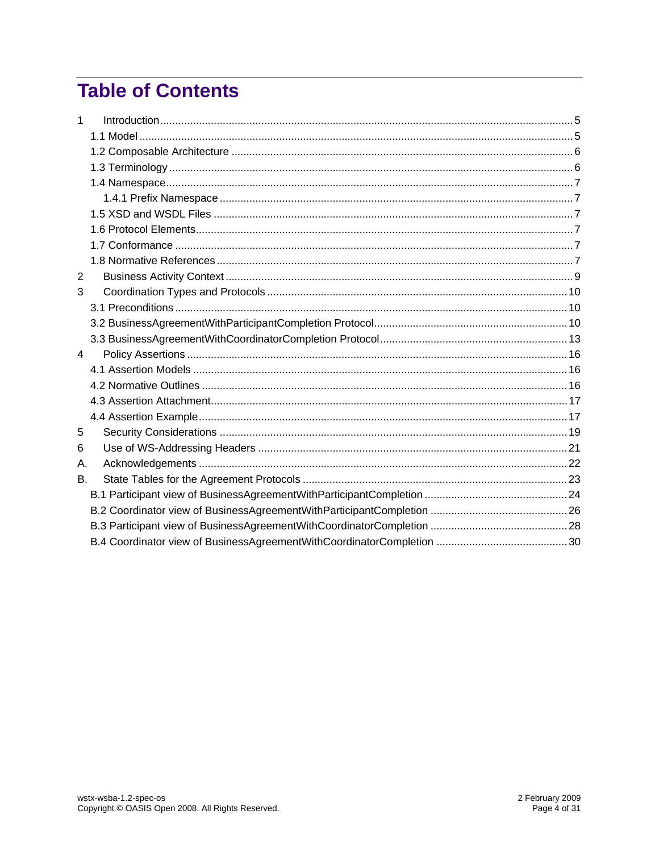# **Table of Contents**

| $\mathbf{1}$ |  |
|--------------|--|
|              |  |
|              |  |
|              |  |
|              |  |
|              |  |
|              |  |
|              |  |
|              |  |
|              |  |
| 2            |  |
| 3            |  |
|              |  |
|              |  |
|              |  |
| 4            |  |
|              |  |
|              |  |
|              |  |
|              |  |
| 5            |  |
| 6            |  |
| Α.           |  |
| В.           |  |
|              |  |
|              |  |
|              |  |
|              |  |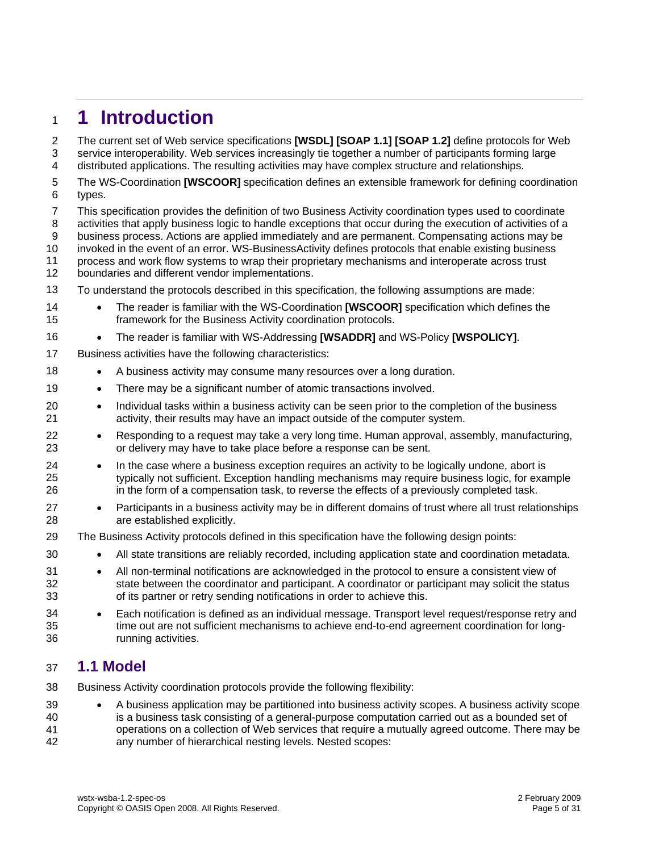# <span id="page-4-0"></span><sup>1</sup>**1 Introduction**

The current set of Web service specifications **[\[WSDL\]](#page-7-0) [\[SOAP 1.1\]](#page-6-1) [\[SOAP 1.2\]](#page-7-1)** define protocols for Web service interoperability. Web services increasingly tie together a number of participants forming large distributed applications. The resulting activities may have complex structure and relationships. 2 3 4

- 5 6 The WS-Coordination **[\[WSCOOR\]](#page-7-2)** specification defines an extensible framework for defining coordination types.
- 7 8 9 10 This specification provides the definition of two Business Activity coordination types used to coordinate activities that apply business logic to handle exceptions that occur during the execution of activities of a business process. Actions are applied immediately and are permanent. Compensating actions may be invoked in the event of an error. WS-BusinessActivity defines protocols that enable existing business
- 11 process and work flow systems to wrap their proprietary mechanisms and interoperate across trust
- 12 boundaries and different vendor implementations.
- 13 To understand the protocols described in this specification, the following assumptions are made:
- 14 15 • The reader is familiar with the WS-Coordination **[\[WSCOOR\]](#page-7-2)** specification which defines the framework for the Business Activity coordination protocols.
- 16 • The reader is familiar with WS-Addressing **[\[WSADDR\]](#page-7-3)** and WS-Policy **[\[WSPOLICY\]](#page-7-4)**.
- 17 Business activities have the following characteristics:
- 18 • A business activity may consume many resources over a long duration.
- 19 • There may be a significant number of atomic transactions involved.
- 20 21 • Individual tasks within a business activity can be seen prior to the completion of the business activity, their results may have an impact outside of the computer system.
- 22 23 • Responding to a request may take a very long time. Human approval, assembly, manufacturing, or delivery may have to take place before a response can be sent.
- 24 25 26 • In the case where a business exception requires an activity to be logically undone, abort is typically not sufficient. Exception handling mechanisms may require business logic, for example in the form of a compensation task, to reverse the effects of a previously completed task.
- 27 28 • Participants in a business activity may be in different domains of trust where all trust relationships are established explicitly.
- 29 The Business Activity protocols defined in this specification have the following design points:
	- All state transitions are reliably recorded, including application state and coordination metadata.
- 31 32 33 • All non-terminal notifications are acknowledged in the protocol to ensure a consistent view of state between the coordinator and participant. A coordinator or participant may solicit the status of its partner or retry sending notifications in order to achieve this.
- 34 35 36 • Each notification is defined as an individual message. Transport level request/response retry and time out are not sufficient mechanisms to achieve end-to-end agreement coordination for longrunning activities.

## 37 **1.1 Model**

- 38 Business Activity coordination protocols provide the following flexibility:
- 39 40 41 42 • A business application may be partitioned into business activity scopes. A business activity scope is a business task consisting of a general-purpose computation carried out as a bounded set of operations on a collection of Web services that require a mutually agreed outcome. There may be any number of hierarchical nesting levels. Nested scopes: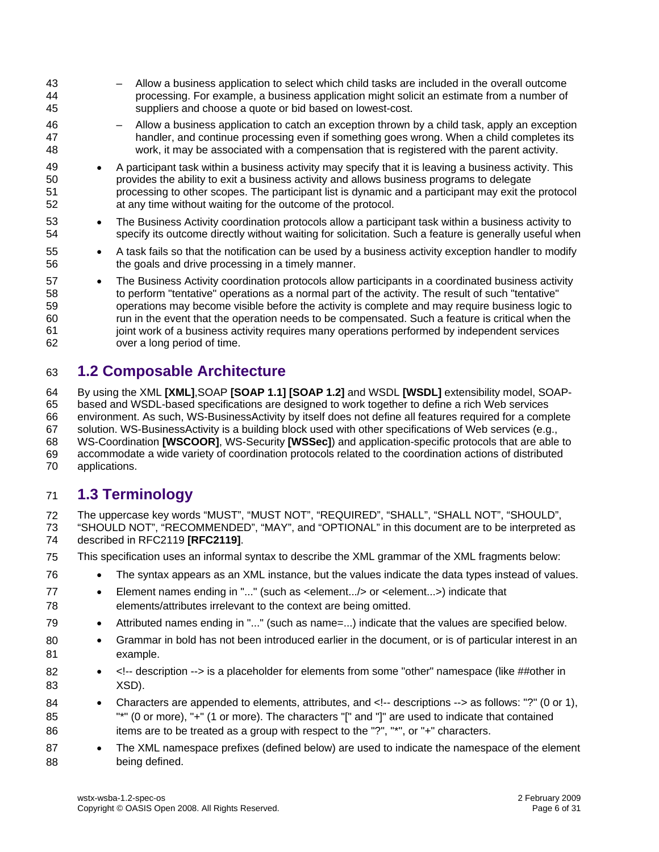<span id="page-5-0"></span>43 44 45 46 47 48 49 50 51 52 53 54 55 56 57 58 59 60 61 62 – Allow a business application to select which child tasks are included in the overall outcome processing. For example, a business application might solicit an estimate from a number of suppliers and choose a quote or bid based on lowest-cost. – Allow a business application to catch an exception thrown by a child task, apply an exception handler, and continue processing even if something goes wrong. When a child completes its work, it may be associated with a compensation that is registered with the parent activity. • A participant task within a business activity may specify that it is leaving a business activity. This provides the ability to exit a business activity and allows business programs to delegate processing to other scopes. The participant list is dynamic and a participant may exit the protocol at any time without waiting for the outcome of the protocol. • The Business Activity coordination protocols allow a participant task within a business activity to specify its outcome directly without waiting for solicitation. Such a feature is generally useful when • A task fails so that the notification can be used by a business activity exception handler to modify the goals and drive processing in a timely manner. • The Business Activity coordination protocols allow participants in a coordinated business activity to perform "tentative" operations as a normal part of the activity. The result of such "tentative" operations may become visible before the activity is complete and may require business logic to run in the event that the operation needs to be compensated. Such a feature is critical when the joint work of a business activity requires many operations performed by independent services over a long period of time.

# 63 **1.2 Composable Architecture**

64 65 66 67 68 69 70 By using the XML **[\[XML\]](#page-7-5)**,SOAP **[\[SOAP 1.1\]](#page-6-1) [\[SOAP 1.2\]](#page-7-1)** and WSDL **[\[WSDL\]](#page-7-0)** extensibility model, SOAPbased and WSDL-based specifications are designed to work together to define a rich Web services environment. As such, WS-BusinessActivity by itself does not define all features required for a complete solution. WS-BusinessActivity is a building block used with other specifications of Web services (e.g., WS-Coordination **[\[WSCOOR\]](#page-7-2)**, WS-Security **[\[WSSec\]](#page-7-6)**) and application-specific protocols that are able to accommodate a wide variety of coordination protocols related to the coordination actions of distributed applications.

# 71 **1.3 Terminology**

77 78

72 The uppercase key words "MUST", "MUST NOT", "REQUIRED", "SHALL", "SHALL NOT", "SHOULD",

73 74 "SHOULD NOT", "RECOMMENDED", "MAY", and "OPTIONAL" in this document are to be interpreted as described in RFC2119 **[\[RFC2119\]](#page-6-2)**.

- 75 This specification uses an informal syntax to describe the XML grammar of the XML fragments below:
- 76 • The syntax appears as an XML instance, but the values indicate the data types instead of values.
	- Element names ending in "..." (such as <element.../> or <element...>) indicate that elements/attributes irrelevant to the context are being omitted.
- 79 • Attributed names ending in "..." (such as name=...) indicate that the values are specified below.
- 80 81 • Grammar in bold has not been introduced earlier in the document, or is of particular interest in an example.
- 82 83 •  $\leq$ !-- description --> is a placeholder for elements from some "other" namespace (like ##other in XSD).
- 84 85 86 • Characters are appended to elements, attributes, and <!-- descriptions --> as follows: "?" (0 or 1), "\*" (0 or more), "+" (1 or more). The characters "[" and "]" are used to indicate that contained items are to be treated as a group with respect to the "?", "\*", or "+" characters.
- 87 88 • The XML namespace prefixes (defined below) are used to indicate the namespace of the element being defined.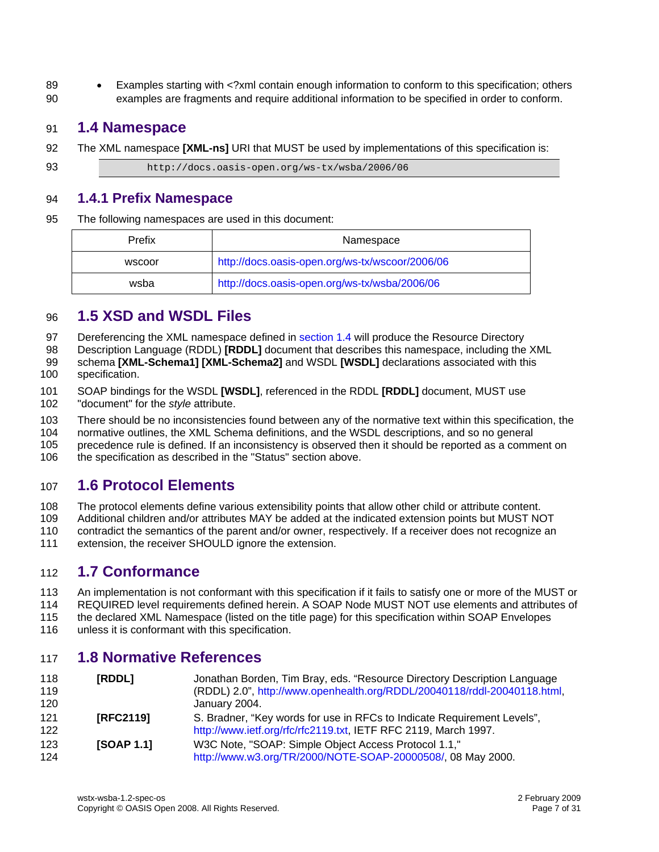<span id="page-6-0"></span>89 90 • Examples starting with <?xml contain enough information to conform to this specification; others examples are fragments and require additional information to be specified in order to conform.

## 91 **1.4 Namespace**

92 The XML namespace **[\[XML-ns\]](#page-7-7)** URI that MUST be used by implementations of this specification is:

93 http://docs.oasis-open.org/ws-tx/wsba/2006/06

### 94 **1.4.1 Prefix Namespace**

95 The following namespaces are used in this document:

| Prefix | Namespace                                       |
|--------|-------------------------------------------------|
| wscoor | http://docs.oasis-open.org/ws-tx/wscoor/2006/06 |
| wsba   | http://docs.oasis-open.org/ws-tx/wsba/2006/06   |

# 96 **1.5 XSD and WSDL Files**

[Dereferencing the XML namespace defined in section 1.4 will produce the Resource Directory](#page-6-0)  97

Description Language (RDDL) **[RDDL]** [document that describes this namespace, including the XML](#page-6-0)  98

schema **[XML-Schema1] [\[XML-Schema2\]](#page-6-3)** and WSDL **[WSDL]** [declarations associated with this](#page-6-0)  [specification.](#page-6-0)  99 100

101 102 SOAP bindings for the WSDL **[\[WSDL\]](#page-7-0)**, referenced in the RDDL **[\[RDDL\]](#page-6-3)** document, MUST use "document" for the *style* attribute.

103 There should be no inconsistencies found between any of the normative text within this specification, the

104 normative outlines, the XML Schema definitions, and the WSDL descriptions, and so no general

105 precedence rule is defined. If an inconsistency is observed then it should be reported as a comment on

106 the specification as described in the "Status" section above.

# 107 **1.6 Protocol Elements**

108 The protocol elements define various extensibility points that allow other child or attribute content.

109 Additional children and/or attributes MAY be added at the indicated extension points but MUST NOT

110 contradict the semantics of the parent and/or owner, respectively. If a receiver does not recognize an

111 extension, the receiver SHOULD ignore the extension.

## 112 **1.7 Conformance**

113 114 115 An implementation is not conformant with this specification if it fails to satisfy one or more of the MUST or REQUIRED level requirements defined herein. A SOAP Node MUST NOT use elements and attributes of the declared XML Namespace (listed on the title page) for this specification within SOAP Envelopes

116 unless it is conformant with this specification.

# 117 **1.8 Normative References**

<span id="page-6-3"></span><span id="page-6-2"></span><span id="page-6-1"></span>

| 118<br>119 | [RDDL]     | Jonathan Borden, Tim Bray, eds. "Resource Directory Description Language<br>(RDDL) 2.0", http://www.openhealth.org/RDDL/20040118/rddl-20040118.html, |
|------------|------------|------------------------------------------------------------------------------------------------------------------------------------------------------|
| 120        |            | January 2004.                                                                                                                                        |
| 121        | [RFC2119]  | S. Bradner, "Key words for use in RFCs to Indicate Requirement Levels",                                                                              |
| 122        |            | http://www.ietf.org/rfc/rfc2119.txt, IETF RFC 2119, March 1997.                                                                                      |
| 123        | [SOAP 1.1] | W3C Note, "SOAP: Simple Object Access Protocol 1.1,"                                                                                                 |
| 124        |            | http://www.w3.org/TR/2000/NOTE-SOAP-20000508/, 08 May 2000.                                                                                          |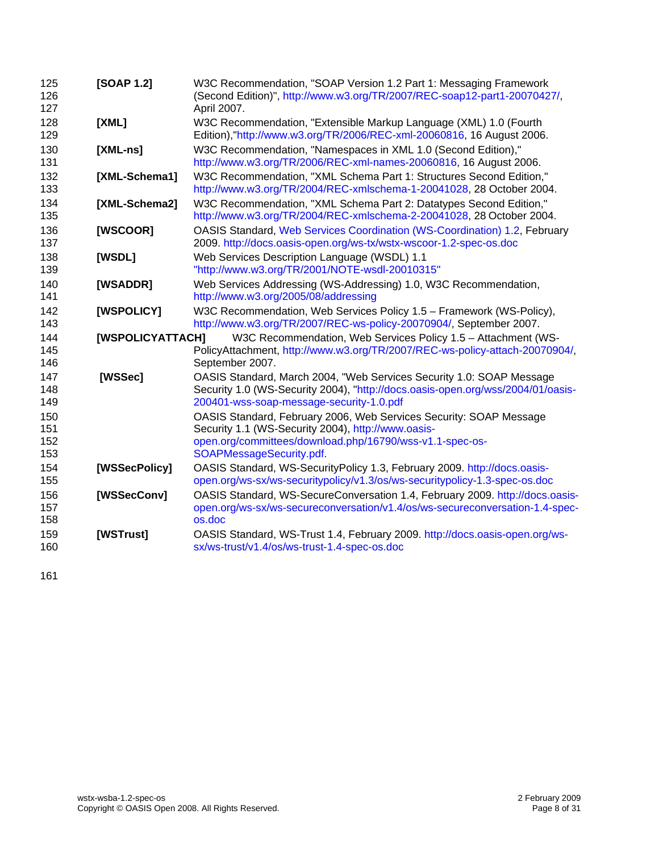<span id="page-7-13"></span><span id="page-7-12"></span><span id="page-7-11"></span><span id="page-7-10"></span><span id="page-7-9"></span><span id="page-7-8"></span><span id="page-7-7"></span><span id="page-7-6"></span><span id="page-7-5"></span><span id="page-7-4"></span><span id="page-7-3"></span><span id="page-7-2"></span><span id="page-7-1"></span><span id="page-7-0"></span>

| 125<br>126<br>127        | [SOAP 1.2]       | W3C Recommendation, "SOAP Version 1.2 Part 1: Messaging Framework<br>(Second Edition)", http://www.w3.org/TR/2007/REC-soap12-part1-20070427/,<br>April 2007.                                                     |
|--------------------------|------------------|------------------------------------------------------------------------------------------------------------------------------------------------------------------------------------------------------------------|
| 128<br>129               | [XML]            | W3C Recommendation, "Extensible Markup Language (XML) 1.0 (Fourth<br>Edition),"http://www.w3.org/TR/2006/REC-xml-20060816, 16 August 2006.                                                                       |
| 130<br>131               | $[XML-ns]$       | W3C Recommendation, "Namespaces in XML 1.0 (Second Edition),"<br>http://www.w3.org/TR/2006/REC-xml-names-20060816, 16 August 2006.                                                                               |
| 132<br>133               | [XML-Schema1]    | W3C Recommendation, "XML Schema Part 1: Structures Second Edition,"<br>http://www.w3.org/TR/2004/REC-xmlschema-1-20041028, 28 October 2004.                                                                      |
| 134<br>135               | [XML-Schema2]    | W3C Recommendation, "XML Schema Part 2: Datatypes Second Edition,"<br>http://www.w3.org/TR/2004/REC-xmlschema-2-20041028, 28 October 2004.                                                                       |
| 136<br>137               | [WSCOOR]         | OASIS Standard, Web Services Coordination (WS-Coordination) 1.2, February<br>2009. http://docs.oasis-open.org/ws-tx/wstx-wscoor-1.2-spec-os.doc                                                                  |
| 138<br>139               | [WSDL]           | Web Services Description Language (WSDL) 1.1<br>"http://www.w3.org/TR/2001/NOTE-wsdl-20010315"                                                                                                                   |
| 140<br>141               | [WSADDR]         | Web Services Addressing (WS-Addressing) 1.0, W3C Recommendation,<br>http://www.w3.org/2005/08/addressing                                                                                                         |
| 142<br>143               | [WSPOLICY]       | W3C Recommendation, Web Services Policy 1.5 - Framework (WS-Policy),<br>http://www.w3.org/TR/2007/REC-ws-policy-20070904/, September 2007.                                                                       |
| 144<br>145<br>146        | [WSPOLICYATTACH] | W3C Recommendation, Web Services Policy 1.5 - Attachment (WS-<br>PolicyAttachment, http://www.w3.org/TR/2007/REC-ws-policy-attach-20070904/,<br>September 2007.                                                  |
| 147<br>148<br>149        | [WSSec]          | OASIS Standard, March 2004, "Web Services Security 1.0: SOAP Message<br>Security 1.0 (WS-Security 2004), "http://docs.oasis-open.org/wss/2004/01/oasis-<br>200401-wss-soap-message-security-1.0.pdf              |
| 150<br>151<br>152<br>153 |                  | OASIS Standard, February 2006, Web Services Security: SOAP Message<br>Security 1.1 (WS-Security 2004), http://www.oasis-<br>open.org/committees/download.php/16790/wss-v1.1-spec-os-<br>SOAPMessageSecurity.pdf. |
| 154<br>155               | [WSSecPolicy]    | OASIS Standard, WS-SecurityPolicy 1.3, February 2009. http://docs.oasis-<br>open.org/ws-sx/ws-securitypolicy/v1.3/os/ws-securitypolicy-1.3-spec-os.doc                                                           |
| 156<br>157<br>158        | [WSSecConv]      | OASIS Standard, WS-SecureConversation 1.4, February 2009. http://docs.oasis-<br>open.org/ws-sx/ws-secureconversation/v1.4/os/ws-secureconversation-1.4-spec-<br>os.doc                                           |
| 159<br>160               | [WSTrust]        | OASIS Standard, WS-Trust 1.4, February 2009. http://docs.oasis-open.org/ws-<br>sx/ws-trust/v1.4/os/ws-trust-1.4-spec-os.doc                                                                                      |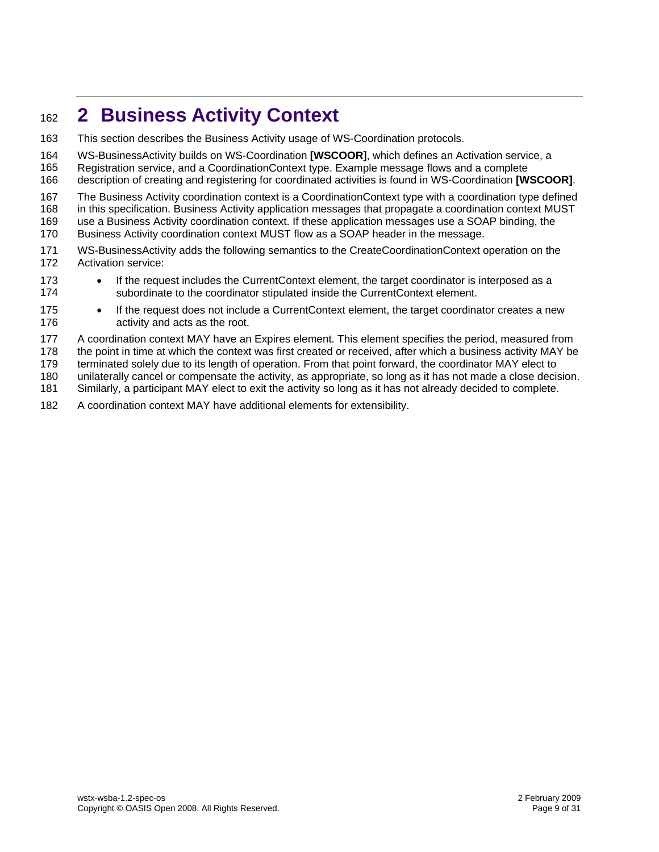# <span id="page-8-0"></span><sup>162</sup>**2 Business Activity Context**

- 163 This section describes the Business Activity usage of WS-Coordination protocols.
- 164 WS-BusinessActivity builds on WS-Coordination **[\[WSCOOR\]](#page-7-2)**, which defines an Activation service, a
- 165 Registration service, and a CoordinationContext type. Example message flows and a complete
- 166 description of creating and registering for coordinated activities is found in WS-Coordination **[\[WSCOOR\]](#page-7-2)**.
- 167 The Business Activity coordination context is a CoordinationContext type with a coordination type defined
- 168 in this specification. Business Activity application messages that propagate a coordination context MUST
- 169 use a Business Activity coordination context. If these application messages use a SOAP binding, the
- 170 Business Activity coordination context MUST flow as a SOAP header in the message.
- 171 172 WS-BusinessActivity adds the following semantics to the CreateCoordinationContext operation on the Activation service:
- 173 174 • If the request includes the CurrentContext element, the target coordinator is interposed as a subordinate to the coordinator stipulated inside the CurrentContext element.
- 175 176 • If the request does not include a CurrentContext element, the target coordinator creates a new activity and acts as the root.
- 177 A coordination context MAY have an Expires element. This element specifies the period, measured from
- 178 the point in time at which the context was first created or received, after which a business activity MAY be

179 terminated solely due to its length of operation. From that point forward, the coordinator MAY elect to

- 180 unilaterally cancel or compensate the activity, as appropriate, so long as it has not made a close decision.
- 181 Similarly, a participant MAY elect to exit the activity so long as it has not already decided to complete.
- 182 A coordination context MAY have additional elements for extensibility.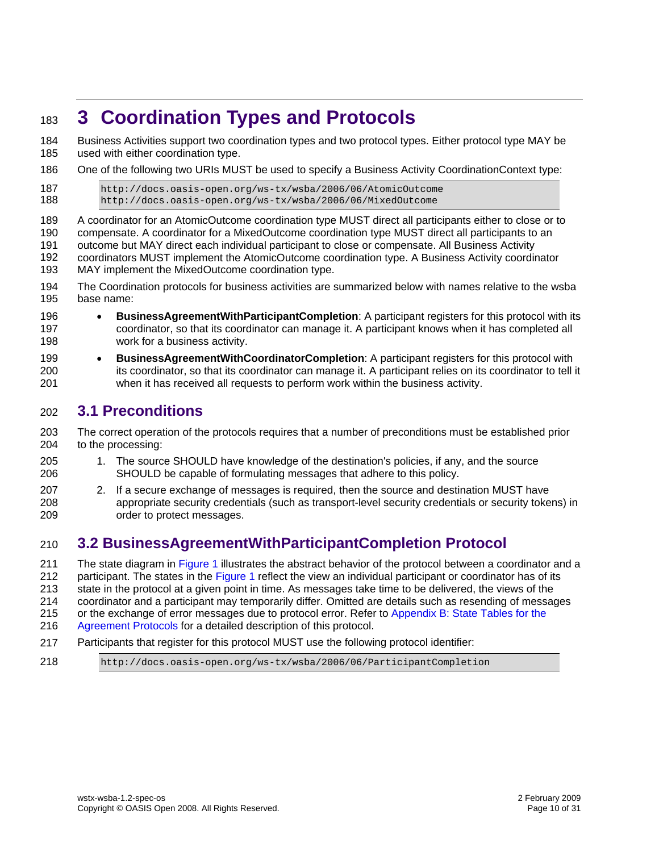# <span id="page-9-0"></span><sup>183</sup>**3 Coordination Types and Protocols**

Business Activities support two coordination types and two protocol types. Either protocol type MAY be used with either coordination type. 184 185

186 One of the following two URIs MUST be used to specify a Business Activity CoordinationContext type:

```
187 http://docs.oasis-open.org/ws-tx/wsba/2006/06/AtomicOutcome 
188 http://docs.oasis-open.org/ws-tx/wsba/2006/06/MixedOutcome
```
189 190 191 192 193 A coordinator for an AtomicOutcome coordination type MUST direct all participants either to close or to compensate. A coordinator for a MixedOutcome coordination type MUST direct all participants to an outcome but MAY direct each individual participant to close or compensate. All Business Activity coordinators MUST implement the AtomicOutcome coordination type. A Business Activity coordinator MAY implement the MixedOutcome coordination type.

- 194 195 The Coordination protocols for business activities are summarized below with names relative to the wsba base name:
- 196 197 198 • **BusinessAgreementWithParticipantCompletion**: A participant registers for this protocol with its coordinator, so that its coordinator can manage it. A participant knows when it has completed all work for a business activity.
- 199 200 201 • **BusinessAgreementWithCoordinatorCompletion**: A participant registers for this protocol with its coordinator, so that its coordinator can manage it. A participant relies on its coordinator to tell it when it has received all requests to perform work within the business activity.

# 202 **3.1 Preconditions**

203 204 The correct operation of the protocols requires that a number of preconditions must be established prior to the processing:

- 205 206 1. The source SHOULD have knowledge of the destination's policies, if any, and the source SHOULD be capable of formulating messages that adhere to this policy.
- 207 208 209 2. If a secure exchange of messages is required, then the source and destination MUST have appropriate security credentials (such as transport-level security credentials or security tokens) in order to protect messages.

# <span id="page-9-1"></span>210 **3.2 BusinessAgreementWithParticipantCompletion Protocol**

211 212 213 214 215 The state diagram in [Figure 1](#page-10-0) illustrates the abstract behavior of the protocol between a coordinator and a participant. The states in the [Figure 1](#page-10-0) reflect the view an individual participant or coordinator has of its state in the protocol at a given point in time. As messages take time to be delivered, the views of the coordinator and a participant may temporarily differ. Omitted are details such as resending of messages or the exchange of error messages due to protocol error. Refer to [Appendix B: State Tables for the](#page-22-0) 

216 [Agreement Protocols](#page-22-0) for a detailed description of this protocol.

- 217 Participants that register for this protocol MUST use the following protocol identifier:
- 218 http://docs.oasis-open.org/ws-tx/wsba/2006/06/ParticipantCompletion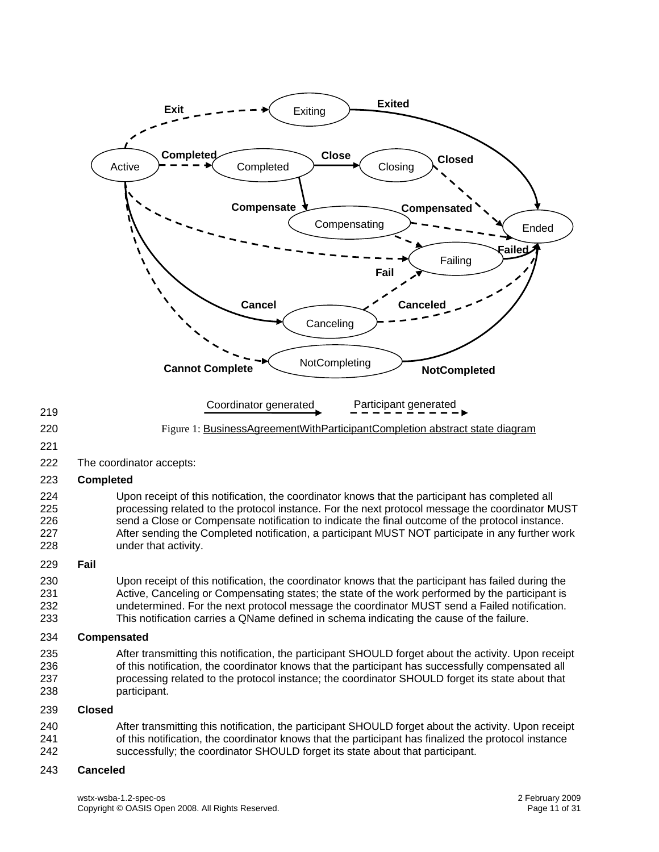<span id="page-10-0"></span>

# wstx-wsba-1.2-spec-os 2 February 2009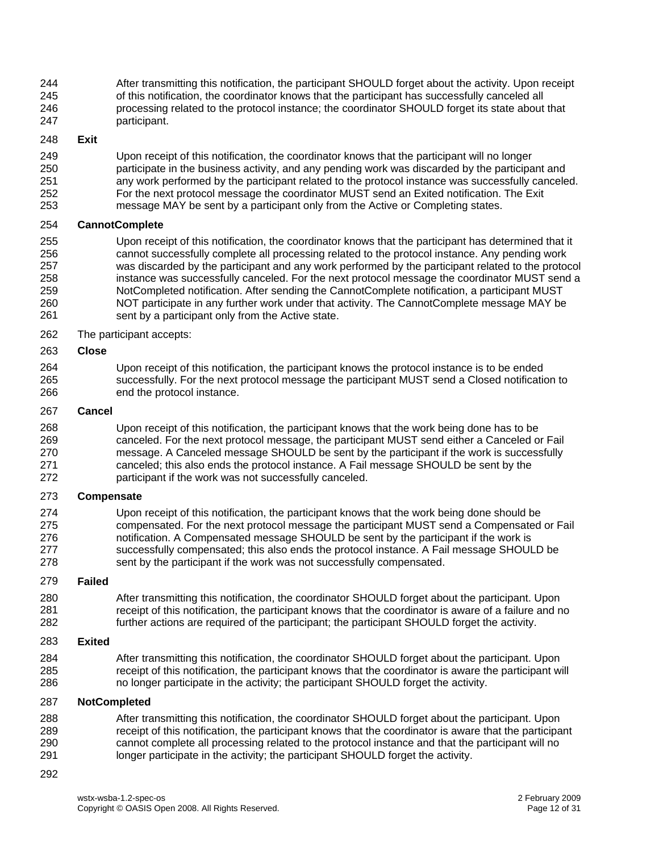244 245 246 247 After transmitting this notification, the participant SHOULD forget about the activity. Upon receipt of this notification, the coordinator knows that the participant has successfully canceled all processing related to the protocol instance; the coordinator SHOULD forget its state about that participant.

#### 248 **Exit**

249 250 251 252 253 Upon receipt of this notification, the coordinator knows that the participant will no longer participate in the business activity, and any pending work was discarded by the participant and any work performed by the participant related to the protocol instance was successfully canceled. For the next protocol message the coordinator MUST send an Exited notification. The Exit message MAY be sent by a participant only from the Active or Completing states.

#### 254 **CannotComplete**

255 256 257 258 259 260 261 Upon receipt of this notification, the coordinator knows that the participant has determined that it cannot successfully complete all processing related to the protocol instance. Any pending work was discarded by the participant and any work performed by the participant related to the protocol instance was successfully canceled. For the next protocol message the coordinator MUST send a NotCompleted notification. After sending the CannotComplete notification, a participant MUST NOT participate in any further work under that activity. The CannotComplete message MAY be sent by a participant only from the Active state.

262 The participant accepts:

#### 263 **Close**

264 265 266 Upon receipt of this notification, the participant knows the protocol instance is to be ended successfully. For the next protocol message the participant MUST send a Closed notification to end the protocol instance.

#### 267 **Cancel**

268 269 270 271 272 Upon receipt of this notification, the participant knows that the work being done has to be canceled. For the next protocol message, the participant MUST send either a Canceled or Fail message. A Canceled message SHOULD be sent by the participant if the work is successfully canceled; this also ends the protocol instance. A Fail message SHOULD be sent by the participant if the work was not successfully canceled.

#### 273 **Compensate**

274 275 276 277 278 Upon receipt of this notification, the participant knows that the work being done should be compensated. For the next protocol message the participant MUST send a Compensated or Fail notification. A Compensated message SHOULD be sent by the participant if the work is successfully compensated; this also ends the protocol instance. A Fail message SHOULD be sent by the participant if the work was not successfully compensated.

#### 279 **Failed**

280 281 282 After transmitting this notification, the coordinator SHOULD forget about the participant. Upon receipt of this notification, the participant knows that the coordinator is aware of a failure and no further actions are required of the participant; the participant SHOULD forget the activity.

#### 283 **Exited**

284 285 286 After transmitting this notification, the coordinator SHOULD forget about the participant. Upon receipt of this notification, the participant knows that the coordinator is aware the participant will no longer participate in the activity; the participant SHOULD forget the activity.

#### 287 **NotCompleted**

- 288 289 290 291 After transmitting this notification, the coordinator SHOULD forget about the participant. Upon receipt of this notification, the participant knows that the coordinator is aware that the participant cannot complete all processing related to the protocol instance and that the participant will no longer participate in the activity; the participant SHOULD forget the activity.
- 292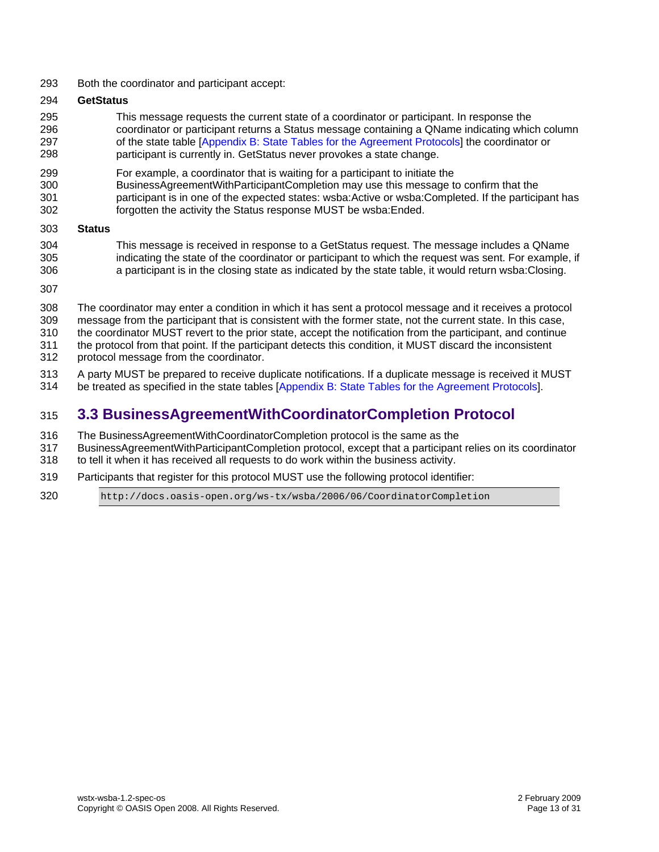<span id="page-12-0"></span>293 Both the coordinator and participant accept:

#### 294 **GetStatus**

- 295 296 297 298 This message requests the current state of a coordinator or participant. In response the coordinator or participant returns a Status message containing a QName indicating which column of the state table [[Appendix B: State Tables for the Agreement Protocols\]](#page-22-0) the coordinator or participant is currently in. GetStatus never provokes a state change.
- 299 For example, a coordinator that is waiting for a participant to initiate the
- 300 301 BusinessAgreementWithParticipantCompletion may use this message to confirm that the participant is in one of the expected states: wsba:Active or wsba:Completed. If the participant has
- 302 forgotten the activity the Status response MUST be wsba:Ended.
- 303 **Status**
- 304 305 306 This message is received in response to a GetStatus request. The message includes a QName indicating the state of the coordinator or participant to which the request was sent. For example, if a participant is in the closing state as indicated by the state table, it would return wsba:Closing.
- 307
- 308 309 The coordinator may enter a condition in which it has sent a protocol message and it receives a protocol message from the participant that is consistent with the former state, not the current state. In this case,
- 310 the coordinator MUST revert to the prior state, accept the notification from the participant, and continue
- 311 the protocol from that point. If the participant detects this condition, it MUST discard the inconsistent
- 312 protocol message from the coordinator.
- 313 A party MUST be prepared to receive duplicate notifications. If a duplicate message is received it MUST
- 314 be treated as specified in the state tables [\[Appendix B: State Tables for the Agreement Protocols](#page-22-0)].

# 315 **3.3 BusinessAgreementWithCoordinatorCompletion Protocol**

- 316 The BusinessAgreementWithCoordinatorCompletion protocol is the same as the
- 317 318 BusinessAgreementWithParticipantCompletion protocol, except that a participant relies on its coordinator to tell it when it has received all requests to do work within the business activity.
- 319 Participants that register for this protocol MUST use the following protocol identifier:
- 320 http://docs.oasis-open.org/ws-tx/wsba/2006/06/CoordinatorCompletion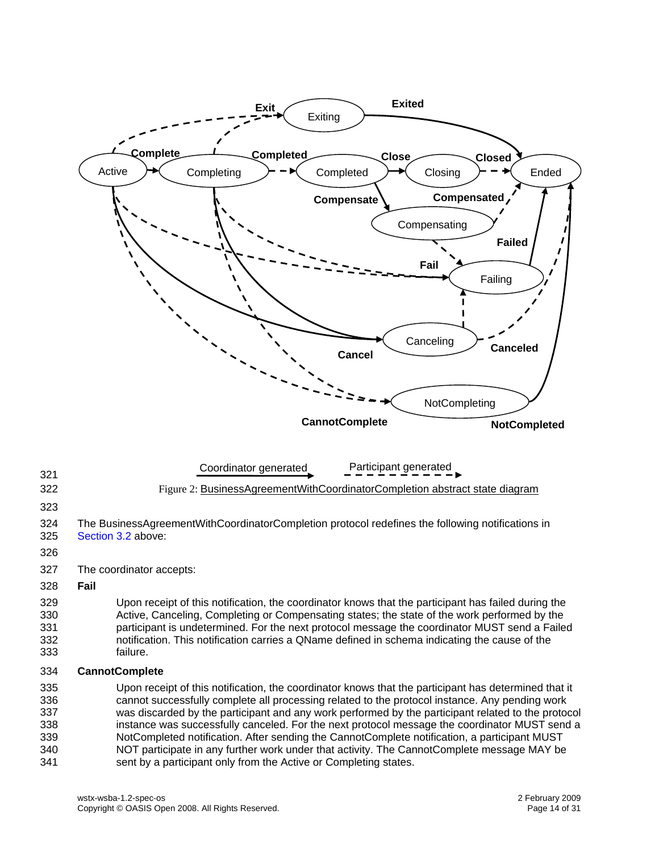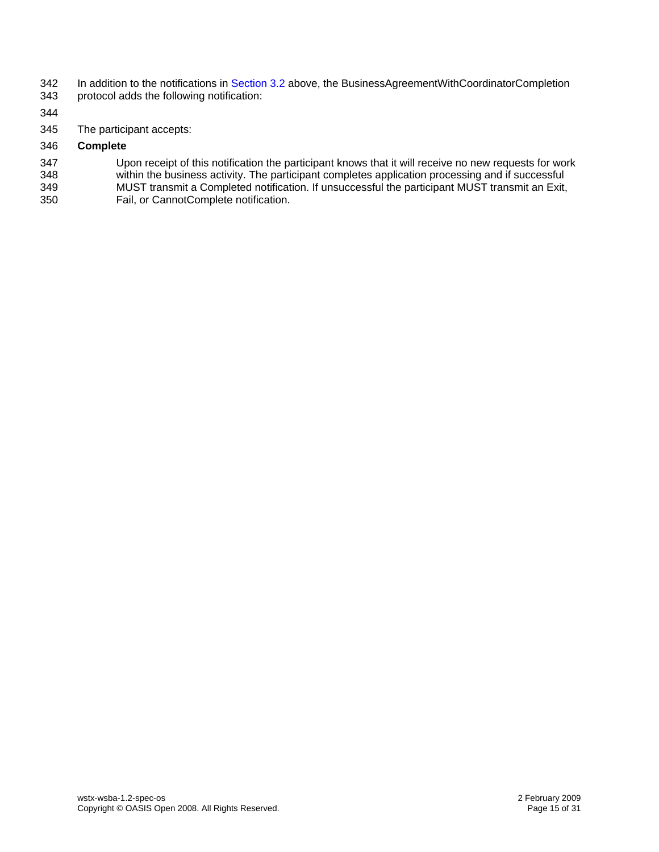- 342 343 In addition to the notifications in [Section 3.2](#page-9-0) [above,](#page-9-1) the BusinessAgreementWithCoordinatorCompletion protocol adds the following notification:
- 344
- 345 The participant accepts:
- 346 **Complete**
- 347 348 349 Upon receipt of this notification the participant knows that it will receive no new requests for work within the business activity. The participant completes application processing and if successful MUST transmit a Completed notification. If unsuccessful the participant MUST transmit an Exit,
- 350 Fail, or CannotComplete notification.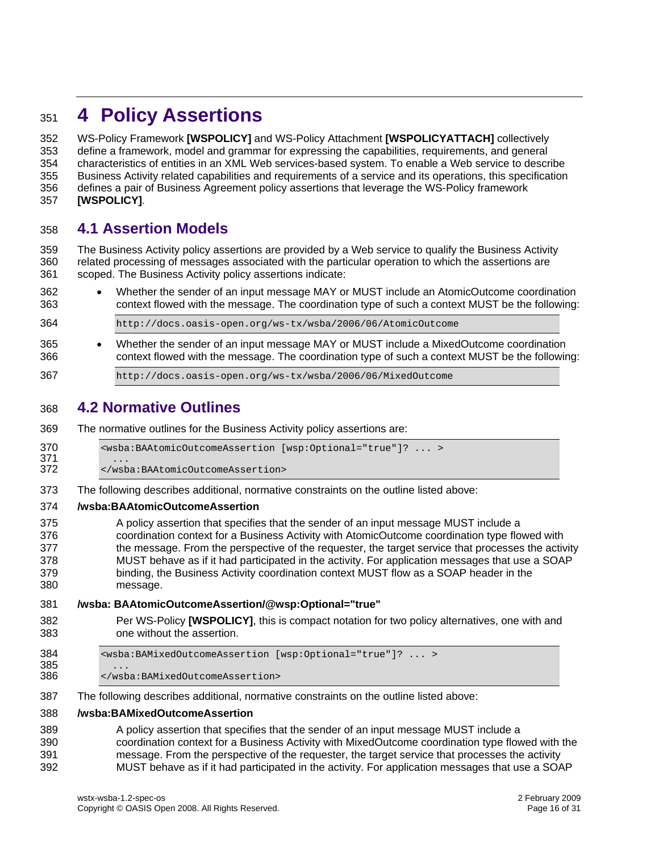# <span id="page-15-0"></span><sup>351</sup>**4 Policy Assertions**

WS-Policy Framework **[\[WSPOLICY\]](#page-7-4)** and WS-Policy Attachment **[\[WSPOLICYATTACH\]](#page-7-10)** collectively define a framework, model and grammar for expressing the capabilities, requirements, and general characteristics of entities in an XML Web services-based system. To enable a Web service to describe Business Activity related capabilities and requirements of a service and its operations, this specification defines a pair of Business Agreement policy assertions that leverage the WS-Policy framework 352 353 354 355 356 357 **[\[WSPOLICY\]](#page-7-4)**.

## 358 **4.1 Assertion Models**

359 360 361 The Business Activity policy assertions are provided by a Web service to qualify the Business Activity related processing of messages associated with the particular operation to which the assertions are scoped. The Business Activity policy assertions indicate:

362 363 • Whether the sender of an input message MAY or MUST include an AtomicOutcome coordination context flowed with the message. The coordination type of such a context MUST be the following:

364 http://docs.oasis-open.org/ws-tx/wsba/2006/06/AtomicOutcome

365 366 • Whether the sender of an input message MAY or MUST include a MixedOutcome coordination context flowed with the message. The coordination type of such a context MUST be the following:

367 http://docs.oasis-open.org/ws-tx/wsba/2006/06/MixedOutcome

# 368 **4.2 Normative Outlines**

369 The normative outlines for the Business Activity policy assertions are:

370 <wsba:BAAtomicOutcomeAssertion [wsp:Optional="true"]? ... >

371 ...<br>372 </wst 372 </wsba:BAAtomicOutcomeAssertion>

373 The following describes additional, normative constraints on the outline listed above:

#### 374 **/wsba:BAAtomicOutcomeAssertion**

375 376 377 378 379 380 A policy assertion that specifies that the sender of an input message MUST include a coordination context for a Business Activity with AtomicOutcome coordination type flowed with the message. From the perspective of the requester, the target service that processes the activity MUST behave as if it had participated in the activity. For application messages that use a SOAP binding, the Business Activity coordination context MUST flow as a SOAP header in the message.

#### 381 **/wsba: BAAtomicOutcomeAssertion/@wsp:Optional="true"**

- 382 383 Per WS-Policy **[\[WSPOLICY\]](#page-7-4)**, this is compact notation for two policy alternatives, one with and one without the assertion.
- 384 <wsba:BAMixedOutcomeAssertion [wsp:Optional="true"]? ... > 385<br>386 386 </wsba:BAMixedOutcomeAssertion>
- 387 The following describes additional, normative constraints on the outline listed above:

#### 388 **/wsba:BAMixedOutcomeAssertion**

389 390 391 392 A policy assertion that specifies that the sender of an input message MUST include a coordination context for a Business Activity with MixedOutcome coordination type flowed with the message. From the perspective of the requester, the target service that processes the activity MUST behave as if it had participated in the activity. For application messages that use a SOAP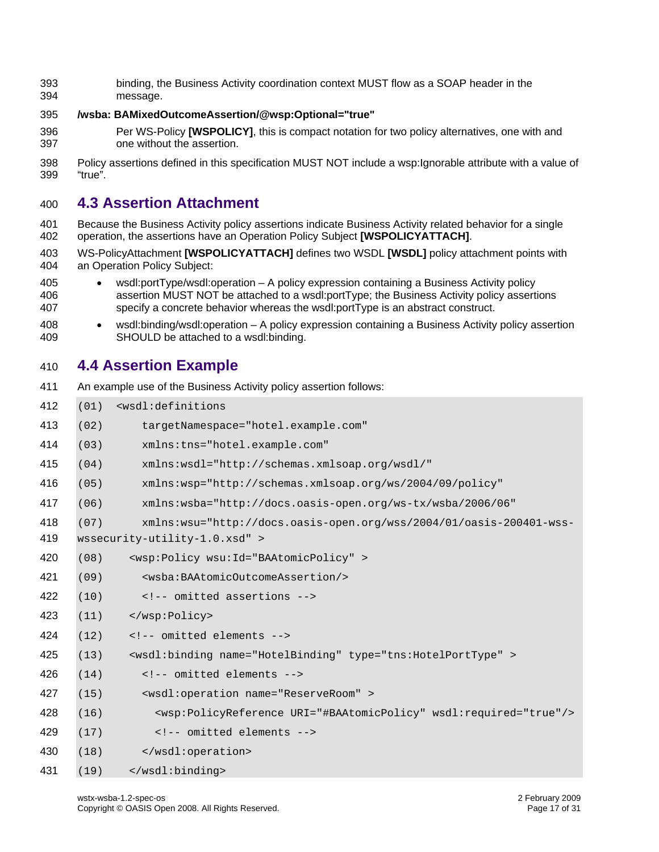<span id="page-16-0"></span> binding, the Business Activity coordination context MUST flow as a SOAP header in the message.

#### **/wsba: BAMixedOutcomeAssertion/@wsp:Optional="true"**

- Per WS-Policy **[\[WSPOLICY\]](#page-7-4)**, this is compact notation for two policy alternatives, one with and one without the assertion.
- Policy assertions defined in this specification MUST NOT include a wsp:Ignorable attribute with a value of "true".

# **4.3 Assertion Attachment**

- Because the Business Activity policy assertions indicate Business Activity related behavior for a single operation, the assertions have an Operation Policy Subject **[\[WSPOLICYATTACH\]](#page-7-10)**.
- WS-PolicyAttachment **[\[WSPOLICYATTACH\]](#page-7-10)** defines two WSDL **[\[WSDL\]](#page-7-0)** policy attachment points with an Operation Policy Subject:
- • wsdl:portType/wsdl:operation – A policy expression containing a Business Activity policy assertion MUST NOT be attached to a wsdl:portType; the Business Activity policy assertions specify a concrete behavior whereas the wsdl:portType is an abstract construct.
- • wsdl:binding/wsdl:operation – A policy expression containing a Business Activity policy assertion SHOULD be attached to a wsdl:binding.

# **4.4 Assertion Example**

| 411 |      | An example use of the Business Activity policy assertion follows:                      |
|-----|------|----------------------------------------------------------------------------------------|
| 412 | (01) | <wsdl:definitions< th=""></wsdl:definitions<>                                          |
| 413 | (02) | targetNamespace="hotel.example.com"                                                    |
| 414 | (03) | xmlns:tns="hotel.example.com"                                                          |
| 415 | (04) | xmlns:wsdl="http://schemas.xmlsoap.org/wsdl/"                                          |
| 416 | (05) | xmlns:wsp="http://schemas.xmlsoap.org/ws/2004/09/policy"                               |
| 417 | (06) | xmlns:wsba="http://docs.oasis-open.org/ws-tx/wsba/2006/06"                             |
| 418 | (07) | xmlns:wsu="http://docs.oasis-open.org/wss/2004/01/oasis-200401-wss-                    |
| 419 |      | wssecurity-utility-1.0.xsd" >                                                          |
| 420 | (08) | <wsp:policy wsu:id="BAAtomicPolicy"></wsp:policy>                                      |
| 421 | (09) | <wsba: baatomicoutcomeassertion=""></wsba:>                                            |
| 422 | (10) | omitted assertions                                                                     |
| 423 | (11) |                                                                                        |
| 424 | (12) | omitted elements                                                                       |
| 425 | (13) | <wsdl:binding name="HotelBinding" type="tns:HotelPortType"></wsdl:binding>             |
| 426 | (14) | omitted elements                                                                       |
| 427 | (15) | <wsdl:operation name="ReserveRoom"></wsdl:operation>                                   |
| 428 | (16) | <wsp:policyreference uri="#BAAtomicPolicy" wsdl:required="true"></wsp:policyreference> |
| 429 | (17) | omitted elements                                                                       |
| 430 | (18) |                                                                                        |
| 431 | (19) |                                                                                        |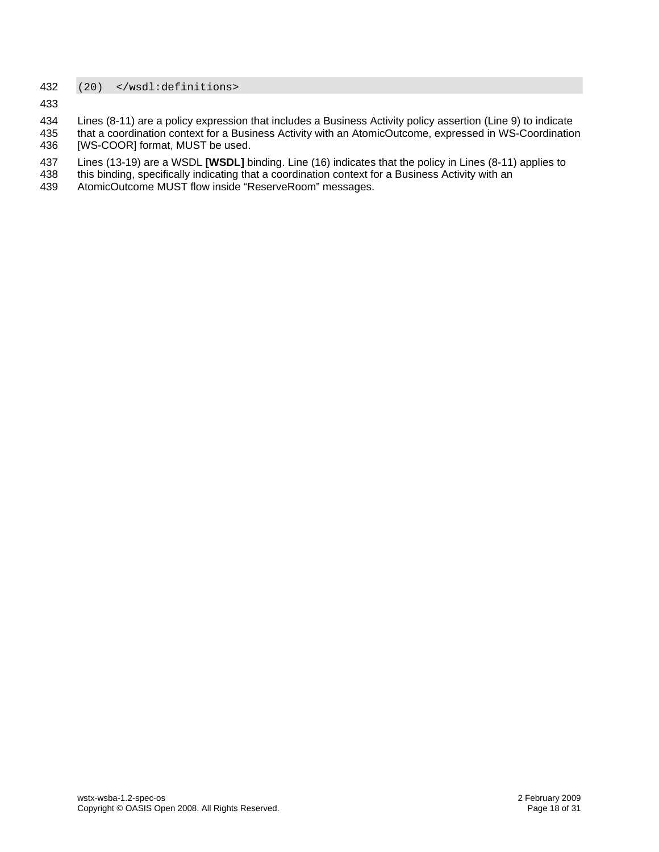### 432 (20) </wsdl:definitions>

- 434 Lines (8-11) are a policy expression that includes a Business Activity policy assertion (Line 9) to indicate
- 435 436 that a coordination context for a Business Activity with an AtomicOutcome, expressed in WS-Coordination [WS-COOR] format, MUST be used.
- 437 Lines (13-19) are a WSDL **[\[WSDL\]](#page-7-0)** binding. Line (16) indicates that the policy in Lines (8-11) applies to
- 438 this binding, specifically indicating that a coordination context for a Business Activity with an
- 439 AtomicOutcome MUST flow inside "ReserveRoom" messages.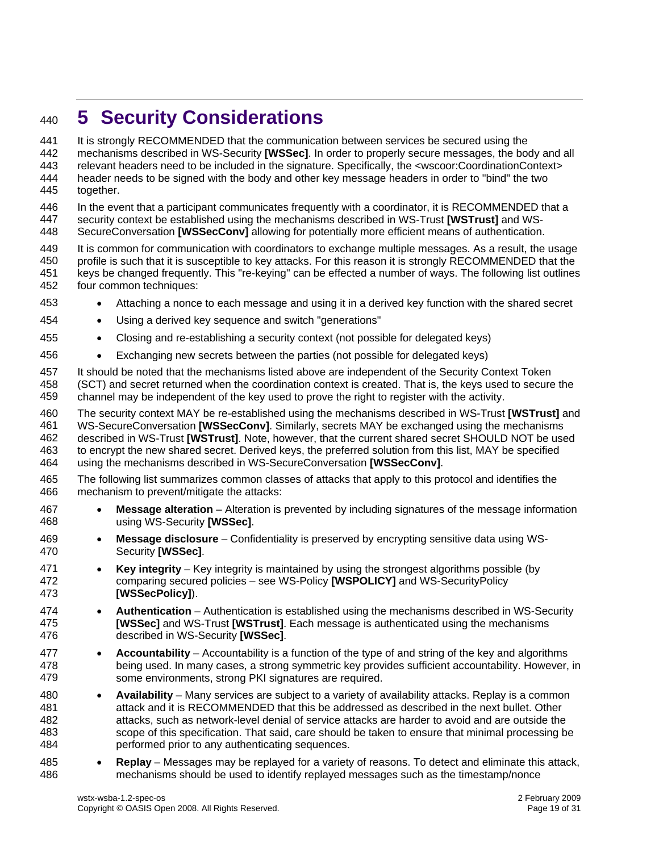# <span id="page-18-0"></span><sup>440</sup>**5 Security Considerations**

It is strongly RECOMMENDED that the communication between services be secured using the mechanisms described in WS-Security **[\[WSSec\]](#page-7-6)**. In order to properly secure messages, the body and all 441 442 443 444 445 relevant headers need to be included in the signature. Specifically, the <wscoor:CoordinationContext> header needs to be signed with the body and other key message headers in order to "bind" the two together.

446 447 In the event that a participant communicates frequently with a coordinator, it is RECOMMENDED that a security context be established using the mechanisms described in WS-Trust **[\[WSTrust\]](#page-7-11)** and WS-

448 SecureConversation **[\[WSSecConv\]](#page-7-12)** allowing for potentially more efficient means of authentication.

449 450 451 452 It is common for communication with coordinators to exchange multiple messages. As a result, the usage profile is such that it is susceptible to key attacks. For this reason it is strongly RECOMMENDED that the keys be changed frequently. This "re-keying" can be effected a number of ways. The following list outlines four common techniques:

- 453 • Attaching a nonce to each message and using it in a derived key function with the shared secret
- 454 • Using a derived key sequence and switch "generations"
- 455 • Closing and re-establishing a security context (not possible for delegated keys)
- 456 • Exchanging new secrets between the parties (not possible for delegated keys)

457 458 459 It should be noted that the mechanisms listed above are independent of the Security Context Token (SCT) and secret returned when the coordination context is created. That is, the keys used to secure the channel may be independent of the key used to prove the right to register with the activity.

460 461 462 463 464 The security context MAY be re-established using the mechanisms described in WS-Trust **[\[WSTrust\]](#page-7-11)** and WS-SecureConversation **[\[WSSecConv\]](#page-7-12)**. Similarly, secrets MAY be exchanged using the mechanisms described in WS-Trust **[\[WSTrust\]](#page-7-11)**. Note, however, that the current shared secret SHOULD NOT be used to encrypt the new shared secret. Derived keys, the preferred solution from this list, MAY be specified using the mechanisms described in WS-SecureConversation **[\[WSSecConv\]](#page-7-12)**.

- 465 466 The following list summarizes common classes of attacks that apply to this protocol and identifies the mechanism to prevent/mitigate the attacks:
- 467 468 • **Message alteration** – Alteration is prevented by including signatures of the message information using WS-Security **[\[WSSec\]](#page-7-6)**.
- 469 470 • **Message disclosure** – Confidentiality is preserved by encrypting sensitive data using WS-Security **[\[WSSec\]](#page-7-6)**.
- 471 472 473 • **Key integrity** – Key integrity is maintained by using the strongest algorithms possible (by comparing secured policies – see WS-Policy **[\[WSPOLICY\]](#page-7-4)** and WS-SecurityPolicy **[\[WSSecPolicy\]](#page-7-13)**).
- 474 475 476 • **Authentication** – Authentication is established using the mechanisms described in WS-Security **[\[WSSec\]](#page-7-6)** and WS-Trust **[\[WSTrust\]](#page-7-11)**. Each message is authenticated using the mechanisms described in WS-Security **[\[WSSec\]](#page-7-6)**.
- 477 478 479 • **Accountability** – Accountability is a function of the type of and string of the key and algorithms being used. In many cases, a strong symmetric key provides sufficient accountability. However, in some environments, strong PKI signatures are required.
- 480 481 482 483 484 • **Availability** – Many services are subject to a variety of availability attacks. Replay is a common attack and it is RECOMMENDED that this be addressed as described in the next bullet. Other attacks, such as network-level denial of service attacks are harder to avoid and are outside the scope of this specification. That said, care should be taken to ensure that minimal processing be performed prior to any authenticating sequences.
- 485 486 • **Replay** – Messages may be replayed for a variety of reasons. To detect and eliminate this attack, mechanisms should be used to identify replayed messages such as the timestamp/nonce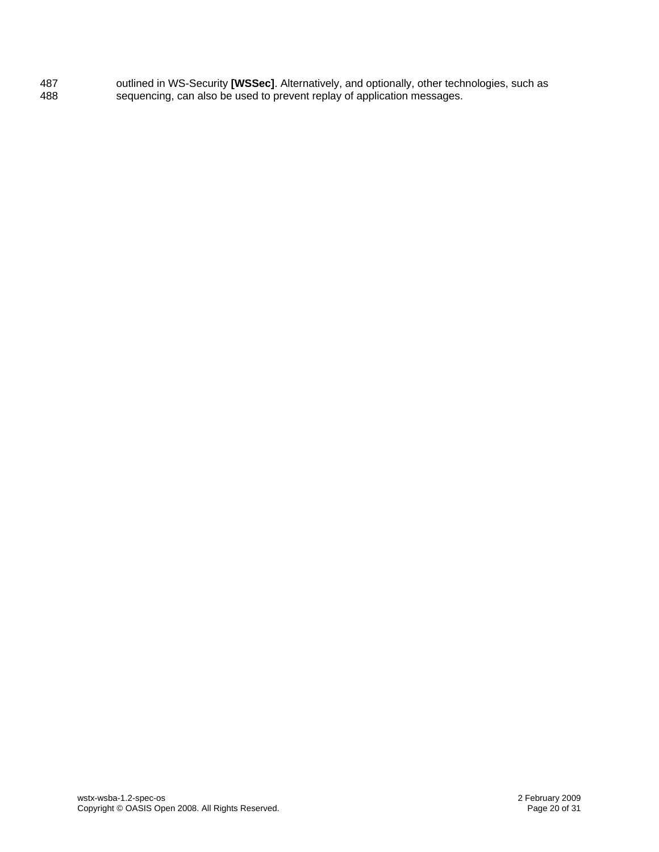487 488 outlined in WS-Security **[\[WSSec\]](#page-7-6)**. Alternatively, and optionally, other technologies, such as sequencing, can also be used to prevent replay of application messages.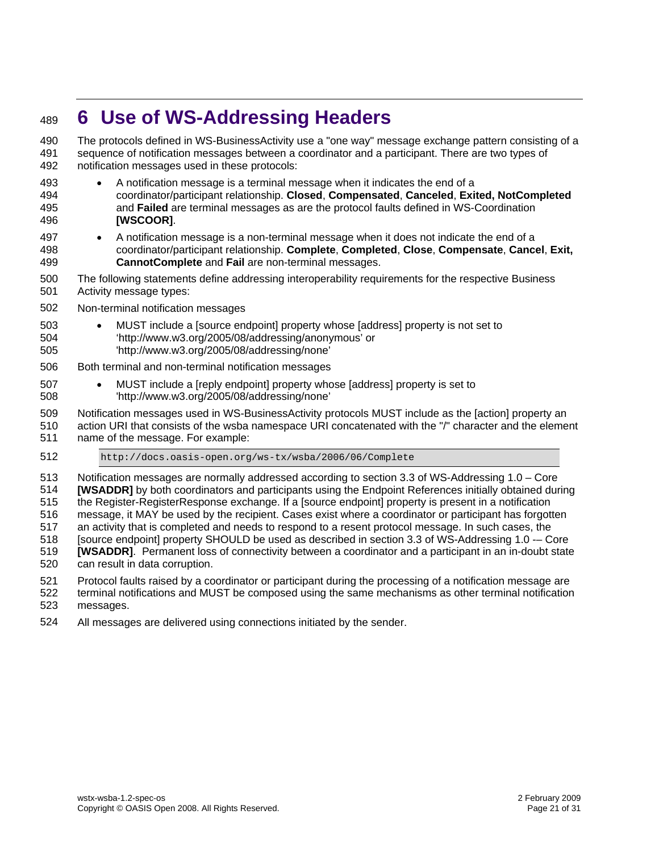# <span id="page-20-0"></span><sup>489</sup>**6 Use of WS-Addressing Headers**

The protocols defined in WS-BusinessActivity use a "one way" message exchange pattern consisting of a sequence of notification messages between a coordinator and a participant. There are two types of notification messages used in these protocols: 490 491 492

- 493 494 495 496 • A notification message is a terminal message when it indicates the end of a coordinator/participant relationship. **Closed**, **Compensated**, **Canceled**, **Exited, NotCompleted** and **Failed** are terminal messages as are the protocol faults defined in WS-Coordination **[\[WSCOOR\]](#page-7-2)**.
- 497 498 499 • A notification message is a non-terminal message when it does not indicate the end of a coordinator/participant relationship. **Complete**, **Completed**, **Close**, **Compensate**, **Cancel**, **Exit, CannotComplete** and **Fail** are non-terminal messages.
- 500 501 The following statements define addressing interoperability requirements for the respective Business Activity message types:
- 502 Non-terminal notification messages
- 503 504 • MUST include a [source endpoint] property whose [address] property is not set to 'http://www.w3.org/2005/08/addressing/anonymous' or
- 505 'http://www.w3.org/2005/08/addressing/none'
- 506 Both terminal and non-terminal notification messages
- 507 508 • MUST include a [reply endpoint] property whose [address] property is set to 'http://www.w3.org/2005/08/addressing/none'
- 509 Notification messages used in WS-BusinessActivity protocols MUST include as the [action] property an
- 510 511 action URI that consists of the wsba namespace URI concatenated with the "/" character and the element name of the message. For example:
- 512 http://docs.oasis-open.org/ws-tx/wsba/2006/06/Complete
- 513 Notification messages are normally addressed according to section 3.3 of WS-Addressing 1.0 – Core
- 514 **[\[WSADDR\]](#page-7-3)** by both coordinators and participants using the Endpoint References initially obtained during
- 515 the Register-RegisterResponse exchange. If a [source endpoint] property is present in a notification
- 516 message, it MAY be used by the recipient. Cases exist where a coordinator or participant has forgotten
- 517 an activity that is completed and needs to respond to a resent protocol message. In such cases, the
- 518 519 [source endpoint] property SHOULD be used as described in section 3.3 of WS-Addressing 1.0 -– Core **[\[WSADDR\]](#page-7-3)**. Permanent loss of connectivity between a coordinator and a participant in an in-doubt state
- 520 can result in data corruption.
- 521 Protocol faults raised by a coordinator or participant during the processing of a notification message are
- 522 523 terminal notifications and MUST be composed using the same mechanisms as other terminal notification messages.
- 524 All messages are delivered using connections initiated by the sender.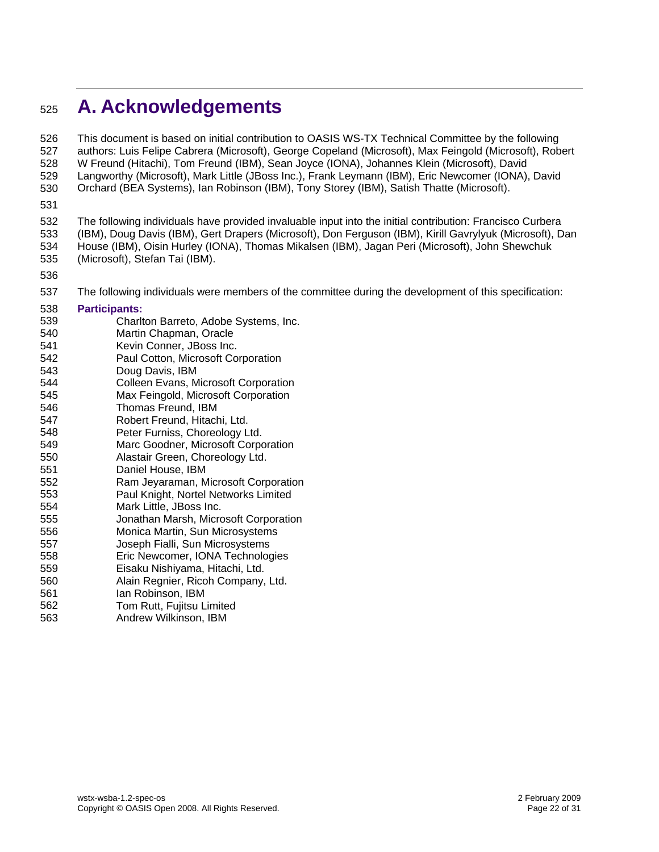# <span id="page-21-0"></span><sup>525</sup>**A. Acknowledgements**

This document is based on initial contribution to OASIS WS-TX Technical Committee by the following authors: Luis Felipe Cabrera (Microsoft), George Copeland (Microsoft), Max Feingold (Microsoft), Robert W Freund (Hitachi), Tom Freund (IBM), Sean Joyce (IONA), Johannes Klein (Microsoft), David Langworthy (Microsoft), Mark Little (JBoss Inc.), Frank Leymann (IBM), Eric Newcomer (IONA), David Orchard (BEA Systems), Ian Robinson (IBM), Tony Storey (IBM), Satish Thatte (Microsoft). 526 527 528 529 530

531

532 533 534 535 The following individuals have provided invaluable input into the initial contribution: Francisco Curbera (IBM), Doug Davis (IBM), Gert Drapers (Microsoft), Don Ferguson (IBM), Kirill Gavrylyuk (Microsoft), Dan House (IBM), Oisin Hurley (IONA), Thomas Mikalsen (IBM), Jagan Peri (Microsoft), John Shewchuk (Microsoft), Stefan Tai (IBM).

536

563

537 The following individuals were members of the committee during the development of this specification:

#### 538 539 540 541 **Participants:**  Charlton Barreto, Adobe Systems, Inc. Martin Chapman, Oracle Kevin Conner, JBoss Inc.

- 542 Paul Cotton, Microsoft Corporation
- 543 544 Doug Davis, IBM Colleen Evans, Microsoft Corporation
- 545 Max Feingold, Microsoft Corporation
- 546 Thomas Freund, IBM
- 547 Robert Freund, Hitachi, Ltd.
- 548 Peter Furniss, Choreology Ltd.
- 549 Marc Goodner, Microsoft Corporation
- 550 Alastair Green, Choreology Ltd.
- 551 Daniel House, IBM
- 552 Ram Jeyaraman, Microsoft Corporation
- 553 Paul Knight, Nortel Networks Limited
- 554 555 Mark Little, JBoss Inc. Jonathan Marsh, Microsoft Corporation
- 556 Monica Martin, Sun Microsystems
- 557 Joseph Fialli, Sun Microsystems
- 558 Eric Newcomer, IONA Technologies
- 559 Eisaku Nishiyama, Hitachi, Ltd.
- 560 Alain Regnier, Ricoh Company, Ltd.

Andrew Wilkinson, IBM

- 561 562 Ian Robinson, IBM Tom Rutt, Fujitsu Limited
	-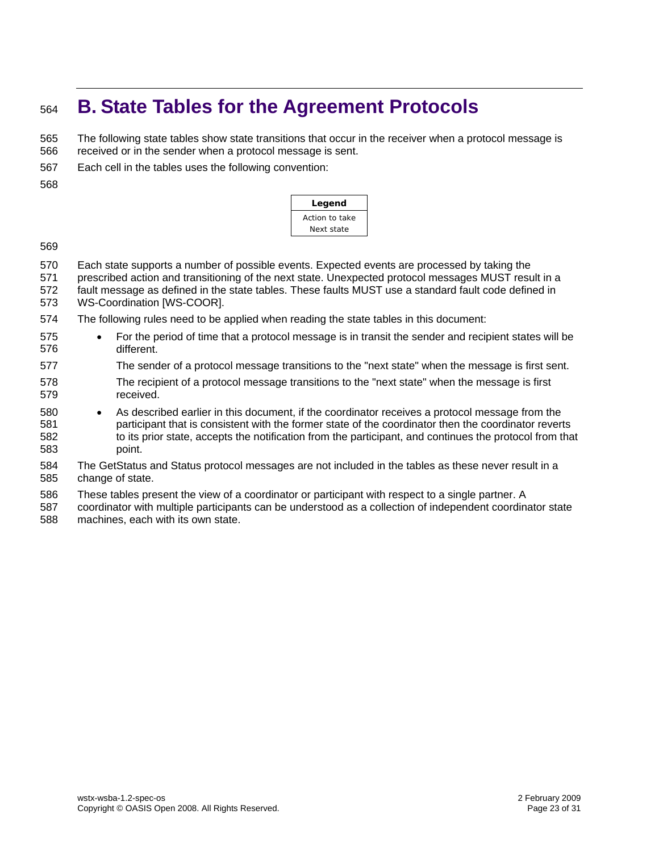# <span id="page-22-0"></span><sup>564</sup>**B. State Tables for the Agreement Protocols**

The following state tables show state transitions that occur in the receiver when a protocol message is received or in the sender when a protocol message is sent. 565 566

- 567 Each cell in the tables uses the following convention:
- 568

| Legend         |  |  |  |  |  |  |  |  |
|----------------|--|--|--|--|--|--|--|--|
| Action to take |  |  |  |  |  |  |  |  |
| Next state     |  |  |  |  |  |  |  |  |

- 570 Each state supports a number of possible events. Expected events are processed by taking the
- 571 prescribed action and transitioning of the next state. Unexpected protocol messages MUST result in a
- 572 573 fault message as defined in the state tables. These faults MUST use a standard fault code defined in WS-Coordination [WS-COOR].
- 574 The following rules need to be applied when reading the state tables in this document:
- 575 576 • For the period of time that a protocol message is in transit the sender and recipient states will be different.
- 577 The sender of a protocol message transitions to the "next state" when the message is first sent.
- 578 579 The recipient of a protocol message transitions to the "next state" when the message is first received.
- 580 581 582 583 • As described earlier in this document, if the coordinator receives a protocol message from the participant that is consistent with the former state of the coordinator then the coordinator reverts to its prior state, accepts the notification from the participant, and continues the protocol from that point.
- 584 585 The GetStatus and Status protocol messages are not included in the tables as these never result in a change of state.
- 586 These tables present the view of a coordinator or participant with respect to a single partner. A
- 587 588 coordinator with multiple participants can be understood as a collection of independent coordinator state machines, each with its own state.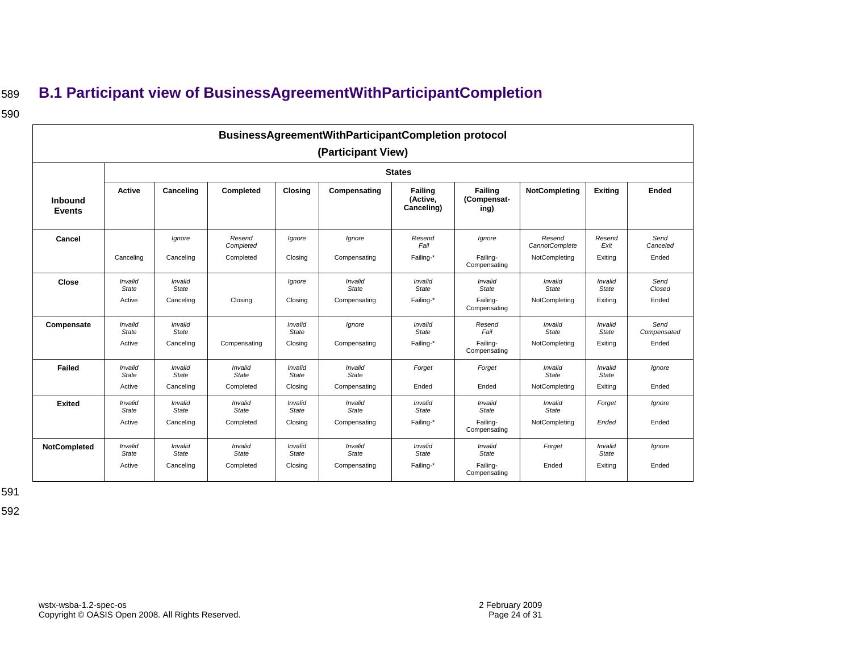# <sup>589</sup>**B.1 Participant view of BusinessAgreementWithParticipantCompletion**

### 590

|                                 | <b>BusinessAgreementWithParticipantCompletion protocol</b><br>(Participant View) |                               |                                  |                             |                                         |                                   |                                                            |                                           |                                    |                              |  |  |  |  |
|---------------------------------|----------------------------------------------------------------------------------|-------------------------------|----------------------------------|-----------------------------|-----------------------------------------|-----------------------------------|------------------------------------------------------------|-------------------------------------------|------------------------------------|------------------------------|--|--|--|--|
|                                 | <b>States</b>                                                                    |                               |                                  |                             |                                         |                                   |                                                            |                                           |                                    |                              |  |  |  |  |
| <b>Inbound</b><br><b>Events</b> | Active                                                                           | Canceling                     | Completed                        | <b>Closing</b>              | Compensating                            | Failing<br>(Active,<br>Canceling) | Failing<br>(Compensat-<br>ing)                             | <b>NotCompleting</b>                      | <b>Exiting</b>                     | <b>Ended</b>                 |  |  |  |  |
| Cancel                          | Canceling                                                                        | Ignore<br>Canceling           | Resend<br>Completed<br>Completed | Ignore<br>Closing           | Ignore<br>Compensating                  | Resend<br>Fail<br>Failing-*       | Ignore<br>Failing-<br>Compensating                         | Resend<br>CannotComplete<br>NotCompleting | Resend<br>Exit<br>Exiting          | Send<br>Canceled<br>Ended    |  |  |  |  |
| Close                           | Invalid<br>State<br>Active                                                       | Invalid<br>State<br>Canceling | Closing                          | lgnore<br>Closing           | Invalid<br>State<br>Compensating        | Invalid<br>State<br>Failing-*     | Invalid<br>State<br>Failing-                               | Invalid<br>State<br>NotCompleting         | Invalid<br>State<br>Exiting        | Send<br>Closed<br>Ended      |  |  |  |  |
| Compensate                      | Invalid<br>State<br>Active                                                       | Invalid<br>State<br>Canceling | Compensating                     | Invalid<br>State<br>Closing | lanore<br>Compensating                  | Invalid<br>State<br>Failing-*     | Compensating<br>Resend<br>Fail<br>Failing-<br>Compensating | Invalid<br>State<br>NotCompleting         | Invalid<br><b>State</b><br>Exiting | Send<br>Compensated<br>Ended |  |  |  |  |
| <b>Failed</b>                   | Invalid<br>State<br>Active                                                       | Invalid<br>State<br>Canceling | Invalid<br>State<br>Completed    | Invalid<br>State<br>Closing | Invalid<br>State<br>Compensating        | Forget<br>Ended                   | Forget<br>Ended                                            | Invalid<br>State<br>NotCompleting         | Invalid<br>State<br>Exiting        | lgnore<br>Ended              |  |  |  |  |
| <b>Exited</b>                   | Invalid<br>State<br>Active                                                       | Invalid<br>State<br>Canceling | Invalid<br>State<br>Completed    | Invalid<br>State<br>Closing | Invalid<br>State<br>Compensating        | Invalid<br>State<br>Failing-*     | Invalid<br>State<br>Failing-<br>Compensating               | Invalid<br>State<br>NotCompleting         | Forget<br>Ended                    | lgnore<br>Ended              |  |  |  |  |
| NotCompleted                    | Invalid<br>State<br>Active                                                       | Invalid<br>State<br>Canceling | Invalid<br>State<br>Completed    | Invalid<br>State<br>Closing | Invalid<br><b>State</b><br>Compensating | Invalid<br>State<br>Failing-*     | Invalid<br>State<br>Failing-<br>Compensating               | Forget<br>Ended                           | Invalid<br>State<br>Exiting        | Ignore<br>Ended              |  |  |  |  |

<span id="page-23-0"></span>591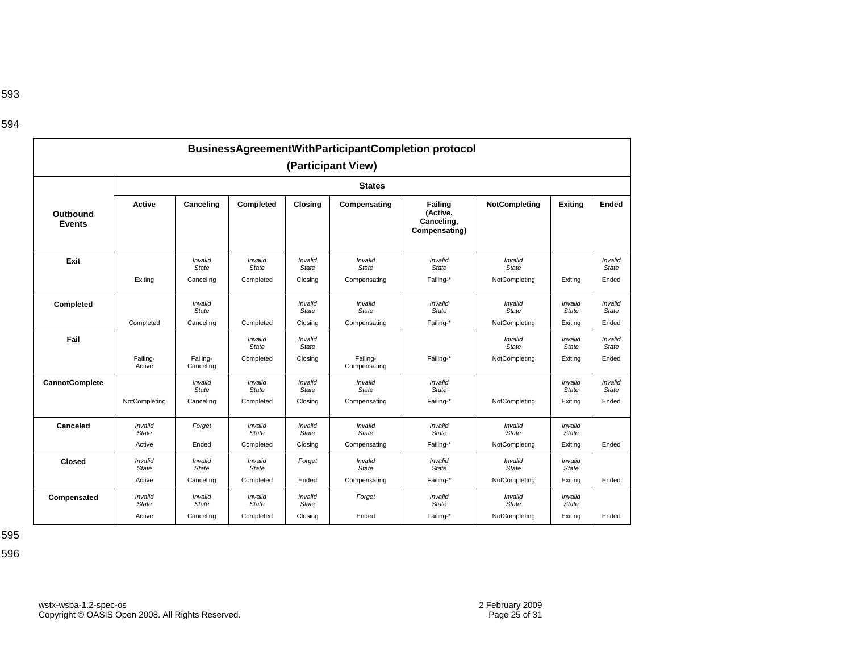|                           |                                   |                                      |                                      |                                    |                                         | <b>BusinessAgreementWithParticipantCompletion protocol</b> |                                          |                                    |                                  |
|---------------------------|-----------------------------------|--------------------------------------|--------------------------------------|------------------------------------|-----------------------------------------|------------------------------------------------------------|------------------------------------------|------------------------------------|----------------------------------|
|                           |                                   |                                      |                                      |                                    | (Participant View)                      |                                                            |                                          |                                    |                                  |
|                           |                                   |                                      |                                      |                                    | <b>States</b>                           |                                                            |                                          |                                    |                                  |
| Outbound<br><b>Events</b> | <b>Active</b>                     | Canceling                            | Completed                            | Closing                            | Compensating                            | Failing<br>(Active,<br>Canceling,<br>Compensating)         | NotCompleting                            | <b>Exiting</b>                     | <b>Ended</b>                     |
| Exit                      | Exiting                           | Invalid<br>State<br>Canceling        | Invalid<br>State<br>Completed        | Invalid<br>State<br>Closing        | Invalid<br>State<br>Compensating        | Invalid<br>State<br>Failing-*                              | Invalid<br>State<br>NotCompleting        | Exiting                            | Invalid<br><b>State</b><br>Ended |
| Completed                 | Completed                         | Invalid<br><b>State</b><br>Canceling | Completed                            | Invalid<br>State<br>Closing        | Invalid<br><b>State</b><br>Compensating | Invalid<br><b>State</b><br>Failing-*                       | Invalid<br><b>State</b><br>NotCompleting | Invalid<br>State<br>Exiting        | Invalid<br><b>State</b><br>Ended |
| Fail                      | Failing-<br>Active                | Failing-<br>Canceling                | Invalid<br>State<br>Completed        | Invalid<br>State<br>Closing        | Failing-<br>Compensating                | Failing-*                                                  | Invalid<br>State<br>NotCompleting        | Invalid<br>State<br>Exiting        | Invalid<br><b>State</b><br>Ended |
| <b>CannotComplete</b>     | NotCompleting                     | Invalid<br><b>State</b><br>Canceling | Invalid<br>State<br>Completed        | Invalid<br><b>State</b><br>Closing | Invalid<br><b>State</b><br>Compensating | Invalid<br><b>State</b><br>Failing-*                       | NotCompleting                            | Invalid<br><b>State</b><br>Exiting | Invalid<br><b>State</b><br>Ended |
| Canceled                  | Invalid<br><b>State</b><br>Active | Forget<br>Ended                      | Invalid<br><b>State</b><br>Completed | Invalid<br>State<br>Closing        | Invalid<br><b>State</b><br>Compensating | Invalid<br><b>State</b><br>Failing-*                       | Invalid<br><b>State</b><br>NotCompleting | Invalid<br><b>State</b><br>Exiting | Ended                            |
| <b>Closed</b>             | Invalid<br><b>State</b><br>Active | Invalid<br><b>State</b><br>Canceling | Invalid<br><b>State</b><br>Completed | Forget<br>Ended                    | Invalid<br><b>State</b><br>Compensating | Invalid<br><b>State</b><br>Failing-*                       | Invalid<br><b>State</b><br>NotCompleting | Invalid<br>State<br>Exiting        | Ended                            |
| Compensated               | Invalid<br><b>State</b><br>Active | Invalid<br><b>State</b><br>Canceling | Invalid<br><b>State</b><br>Completed | Invalid<br>State<br>Closing        | Forget<br>Ended                         | Invalid<br><b>State</b><br>Failing-*                       | Invalid<br><b>State</b><br>NotCompleting | Invalid<br><b>State</b><br>Exiting | Ended                            |

595

596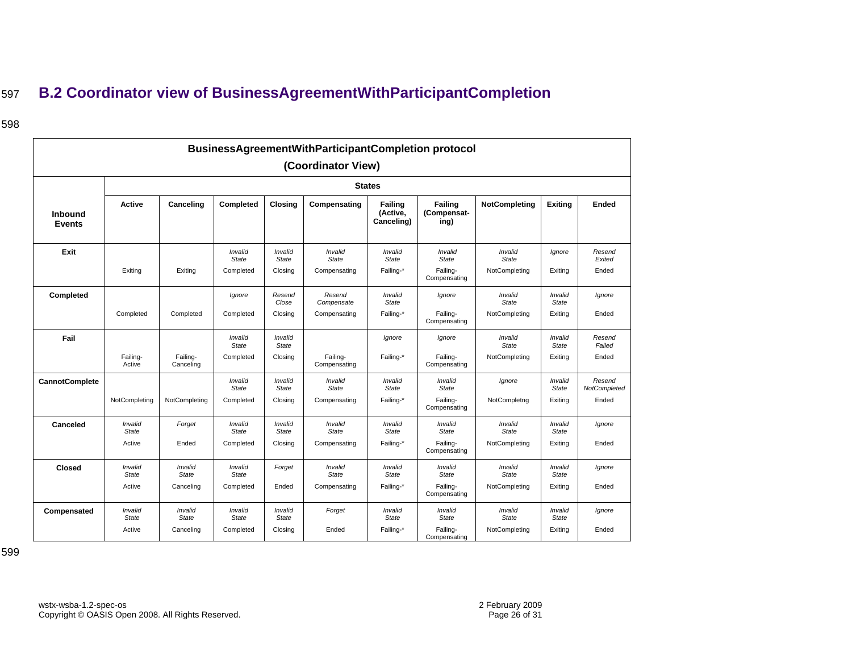# <sup>597</sup>**B.2 Coordinator view of BusinessAgreementWithParticipantCompletion**

### 598

<span id="page-25-0"></span>

| BusinessAgreementWithParticipantCompletion protocol<br>(Coordinator View) |                         |                         |                         |                         |                          |                                          |                                |                         |                         |                        |  |  |  |
|---------------------------------------------------------------------------|-------------------------|-------------------------|-------------------------|-------------------------|--------------------------|------------------------------------------|--------------------------------|-------------------------|-------------------------|------------------------|--|--|--|
|                                                                           | <b>States</b>           |                         |                         |                         |                          |                                          |                                |                         |                         |                        |  |  |  |
| Inbound<br><b>Events</b>                                                  | Active                  | Canceling               | Completed               | <b>Closing</b>          | Compensating             | <b>Failing</b><br>(Active,<br>Canceling) | Failing<br>(Compensat-<br>ing) | <b>NotCompleting</b>    | <b>Exiting</b>          | Ended                  |  |  |  |
| Exit                                                                      |                         |                         | Invalid<br><b>State</b> | Invalid<br><b>State</b> | Invalid<br>State         | Invalid<br><b>State</b>                  | Invalid<br><b>State</b>        | Invalid<br><b>State</b> | Ignore                  | Resend<br>Exited       |  |  |  |
|                                                                           | Exiting                 | Exiting                 | Completed               | Closing                 | Compensating             | Failing-*                                | Failing-<br>Compensating       | NotCompleting           | Exiting                 | Ended                  |  |  |  |
| Completed                                                                 |                         |                         | Ignore                  | Resend<br>Close         | Resend<br>Compensate     | Invalid<br><b>State</b>                  | lgnore                         | Invalid<br><b>State</b> | Invalid<br><b>State</b> | Ignore                 |  |  |  |
|                                                                           | Completed               | Completed               | Completed               | Closing                 | Compensating             | Failing-*                                | Failing-<br>Compensating       | NotCompleting           | Exiting                 | Ended                  |  |  |  |
| Fail                                                                      |                         |                         | Invalid<br><b>State</b> | Invalid<br><b>State</b> |                          | lgnore                                   | Ignore                         | Invalid<br><b>State</b> | Invalid<br><b>State</b> | Resend<br>Failed       |  |  |  |
|                                                                           | Failing-<br>Active      | Failing-<br>Canceling   | Completed               | Closing                 | Failing-<br>Compensating | Failing-*                                | Failing-<br>Compensating       | NotCompleting           | Exitina                 | Ended                  |  |  |  |
| <b>CannotComplete</b>                                                     |                         |                         | Invalid<br><b>State</b> | Invalid<br><b>State</b> | Invalid<br><b>State</b>  | Invalid<br><b>State</b>                  | Invalid<br><b>State</b>        | lgnore                  | Invalid<br>State        | Resend<br>NotCompleted |  |  |  |
|                                                                           | NotCompleting           | NotCompleting           | Completed               | Closing                 | Compensating             | Failing-*                                | Failing-<br>Compensating       | NotCompletng            | Exiting                 | Ended                  |  |  |  |
| <b>Canceled</b>                                                           | Invalid<br><b>State</b> | Forget                  | Invalid<br><b>State</b> | Invalid<br><b>State</b> | Invalid<br><b>State</b>  | Invalid<br><b>State</b>                  | Invalid<br><b>State</b>        | Invalid<br><b>State</b> | Invalid<br><b>State</b> | Ignore                 |  |  |  |
|                                                                           | Active                  | Ended                   | Completed               | Closing                 | Compensating             | Failing-*                                | Failing-<br>Compensating       | NotCompleting           | Exiting                 | Ended                  |  |  |  |
| Closed                                                                    | Invalid<br><b>State</b> | Invalid<br><b>State</b> | Invalid<br><b>State</b> | Forget                  | Invalid<br><b>State</b>  | Invalid<br><b>State</b>                  | Invalid<br>State               | Invalid<br><b>State</b> | Invalid<br>State        | Ignore                 |  |  |  |
|                                                                           | Active                  | Canceling               | Completed               | Ended                   | Compensating             | Failing-*                                | Failing-<br>Compensating       | NotCompleting           | Exiting                 | Ended                  |  |  |  |
| Compensated                                                               | Invalid<br>State        | Invalid<br><b>State</b> | Invalid<br><b>State</b> | Invalid<br>State        | Forget                   | Invalid<br>State                         | Invalid<br><b>State</b>        | Invalid<br><b>State</b> | Invalid<br>State        | lgnore                 |  |  |  |
|                                                                           | Active                  | Canceling               | Completed               | Closing                 | Ended                    | Failing-*                                | Failing-<br>Compensating       | NotCompleting           | Exitina                 | Ended                  |  |  |  |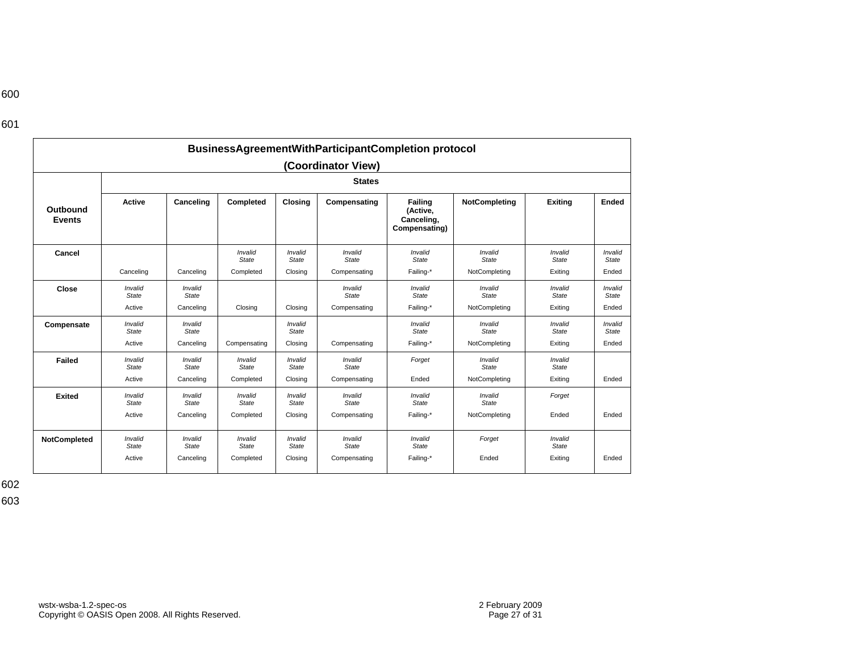# 600

| I<br>×<br>۰.<br>٩ |  |
|-------------------|--|
|-------------------|--|

|                           | BusinessAgreementWithParticipantCompletion protocol |                  |                         |                         |                         |                                                           |                         |                         |                         |  |  |  |  |  |
|---------------------------|-----------------------------------------------------|------------------|-------------------------|-------------------------|-------------------------|-----------------------------------------------------------|-------------------------|-------------------------|-------------------------|--|--|--|--|--|
|                           | (Coordinator View)                                  |                  |                         |                         |                         |                                                           |                         |                         |                         |  |  |  |  |  |
| <b>States</b>             |                                                     |                  |                         |                         |                         |                                                           |                         |                         |                         |  |  |  |  |  |
| Outbound<br><b>Events</b> | <b>Active</b>                                       | Canceling        | Completed               | Closina                 | Compensating            | <b>Failing</b><br>(Active,<br>Canceling,<br>Compensating) | NotCompleting           | <b>Exiting</b>          | Ended                   |  |  |  |  |  |
| Cancel                    |                                                     |                  | Invalid<br>State        | Invalid<br>State        | Invalid<br><b>State</b> | Invalid<br>State                                          | Invalid<br>State        | Invalid<br>State        | Invalid<br>State        |  |  |  |  |  |
|                           | Canceling                                           | Canceling        | Completed               | Closing                 | Compensating            | Failing-*                                                 | NotCompleting           | Exiting                 | Ended                   |  |  |  |  |  |
| Close                     | Invalid<br>State                                    | Invalid<br>State |                         |                         | Invalid<br>State        | Invalid<br><b>State</b>                                   | Invalid<br><b>State</b> | Invalid<br><b>State</b> | Invalid<br><b>State</b> |  |  |  |  |  |
|                           | Active                                              | Canceling        | Closing                 | Closing                 | Compensating            | Failing-*                                                 | NotCompleting           | Exiting                 | Ended                   |  |  |  |  |  |
| Compensate                | Invalid<br>State                                    | Invalid<br>State |                         | Invalid<br>State        |                         | Invalid<br><b>State</b>                                   | Invalid<br>State        | Invalid<br>State        | Invalid<br>State        |  |  |  |  |  |
|                           | Active                                              | Canceling        | Compensating            | Closing                 | Compensating            | Failing-*                                                 | NotCompleting           | Exiting                 | Ended                   |  |  |  |  |  |
| <b>Failed</b>             | Invalid<br><b>State</b>                             | Invalid<br>State | Invalid<br><b>State</b> | Invalid<br>State        | Invalid<br>State        | Forget                                                    | Invalid<br>State        | Invalid<br>State        |                         |  |  |  |  |  |
|                           | Active                                              | Canceling        | Completed               | Closing                 | Compensating            | Ended                                                     | NotCompleting           | Exiting                 | Ended                   |  |  |  |  |  |
| <b>Exited</b>             | Invalid<br>State                                    | Invalid<br>State | Invalid<br>State        | Invalid<br><b>State</b> | Invalid<br><b>State</b> | Invalid<br>State                                          | Invalid<br>State        | Forget                  |                         |  |  |  |  |  |
|                           | Active                                              | Canceling        | Completed               | Closing                 | Compensating            | Failing-*                                                 | NotCompleting           | Ended                   | Ended                   |  |  |  |  |  |
| NotCompleted              | Invalid<br>State                                    | Invalid<br>State | Invalid<br>State        | Invalid<br>State        | Invalid<br>State        | Invalid<br>State                                          | Forget                  | Invalid<br>State        |                         |  |  |  |  |  |
|                           | Active                                              | Canceling        | Completed               | Closing                 | Compensating            | Failing-*                                                 | Ended                   | Exiting                 | Ended                   |  |  |  |  |  |

602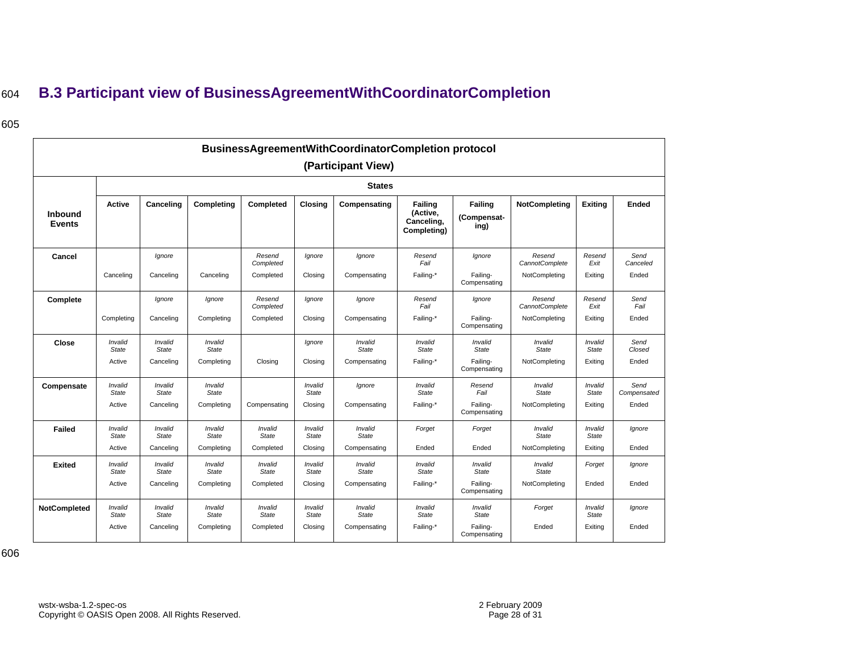# <sup>604</sup>**B.3 Participant view of BusinessAgreementWithCoordinatorCompletion**

### 605

<span id="page-27-0"></span>

|                                 | BusinessAgreementWithCoordinatorCompletion protocol |                               |                                |                                  |                                    |                                         |                                                  |                                                     |                                           |                                    |                              |  |  |  |
|---------------------------------|-----------------------------------------------------|-------------------------------|--------------------------------|----------------------------------|------------------------------------|-----------------------------------------|--------------------------------------------------|-----------------------------------------------------|-------------------------------------------|------------------------------------|------------------------------|--|--|--|
|                                 | (Participant View)                                  |                               |                                |                                  |                                    |                                         |                                                  |                                                     |                                           |                                    |                              |  |  |  |
|                                 |                                                     | <b>States</b>                 |                                |                                  |                                    |                                         |                                                  |                                                     |                                           |                                    |                              |  |  |  |
| <b>Inbound</b><br><b>Events</b> | <b>Active</b>                                       | Canceling                     | Completing                     | Completed                        | <b>Closing</b>                     | Compensating                            | Failing<br>(Active,<br>Canceling,<br>Completing) | Failing<br>(Compensat-<br>ing)                      | <b>NotCompleting</b>                      | <b>Exiting</b>                     | Ended                        |  |  |  |
| Cancel                          | Canceling                                           | Ignore<br>Canceling           | Canceling                      | Resend<br>Completed<br>Completed | Ignore<br>Closing                  | Ignore<br>Compensating                  | Resend<br>Fail<br>Failing-*                      | Ignore<br>Failing-<br>Compensating                  | Resend<br>CannotComplete<br>NotCompleting | Resend<br>Exit<br>Exiting          | Send<br>Canceled<br>Ended    |  |  |  |
| Complete                        | Completing                                          | Ignore<br>Canceling           | Ignore<br>Completing           | Resend<br>Completed<br>Completed | Ignore<br>Closing                  | Ignore<br>Compensating                  | Resend<br>Fail<br>Failing-*                      | Ignore<br>Failing-<br>Compensating                  | Resend<br>CannotComplete<br>NotCompleting | Resend<br>Exit<br>Exiting          | Send<br>Fail<br>Ended        |  |  |  |
| Close                           | Invalid<br>State<br>Active                          | Invalid<br>State<br>Canceling | Invalid<br>State<br>Completing | Closing                          | Ignore<br>Closing                  | Invalid<br>State<br>Compensating        | Invalid<br>State<br>Failing-*                    | Invalid<br><b>State</b><br>Failing-<br>Compensating | Invalid<br>State<br>NotCompleting         | Invalid<br><b>State</b><br>Exiting | Send<br>Closed<br>Ended      |  |  |  |
| Compensate                      | Invalid<br>State<br>Active                          | Invalid<br>State<br>Canceling | Invalid<br>State<br>Completing | Compensating                     | Invalid<br><b>State</b><br>Closing | Ignore<br>Compensating                  | Invalid<br><b>State</b><br>Failing-*             | Resend<br>Fail<br>Failing-<br>Compensating          | Invalid<br><b>State</b><br>NotCompleting  | Invalid<br><b>State</b><br>Exiting | Send<br>Compensated<br>Ended |  |  |  |
| <b>Failed</b>                   | Invalid<br>State<br>Active                          | Invalid<br>State<br>Canceling | Invalid<br>State<br>Completing | Invalid<br>State<br>Completed    | Invalid<br><b>State</b><br>Closing | Invalid<br><b>State</b><br>Compensating | Forget<br>Ended                                  | Forget<br>Ended                                     | Invalid<br><b>State</b><br>NotCompleting  | Invalid<br><b>State</b><br>Exiting | Ignore<br>Ended              |  |  |  |
| <b>Exited</b>                   | Invalid<br>State<br>Active                          | Invalid<br>State<br>Canceling | Invalid<br>State<br>Completing | Invalid<br>State<br>Completed    | Invalid<br><b>State</b><br>Closing | Invalid<br>State<br>Compensating        | Invalid<br>State<br>Failing-*                    | Invalid<br><b>State</b><br>Failing-<br>Compensating | Invalid<br><b>State</b><br>NotCompleting  | Forget<br>Ended                    | lgnore<br>Ended              |  |  |  |
| <b>NotCompleted</b>             | Invalid<br>State<br>Active                          | Invalid<br>State<br>Canceling | Invalid<br>State<br>Completing | Invalid<br>State<br>Completed    | Invalid<br><b>State</b><br>Closing | Invalid<br>State<br>Compensating        | Invalid<br>State<br>Failing-*                    | Invalid<br><b>State</b><br>Failing-<br>Compensating | Forget<br>Ended                           | Invalid<br>State<br>Exiting        | Ignore<br>Ended              |  |  |  |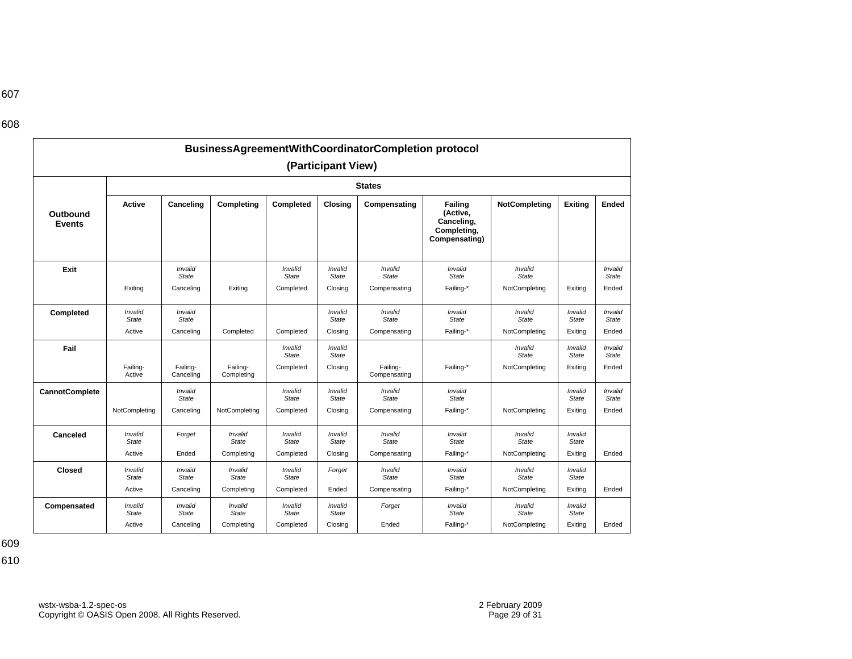607

| BusinessAgreementWithCoordinatorCompletion protocol |                         |                                      |                         |                                      |                                    |                                  |                                                                   |                                          |                  |                                  |  |  |
|-----------------------------------------------------|-------------------------|--------------------------------------|-------------------------|--------------------------------------|------------------------------------|----------------------------------|-------------------------------------------------------------------|------------------------------------------|------------------|----------------------------------|--|--|
| (Participant View)                                  |                         |                                      |                         |                                      |                                    |                                  |                                                                   |                                          |                  |                                  |  |  |
|                                                     | <b>States</b>           |                                      |                         |                                      |                                    |                                  |                                                                   |                                          |                  |                                  |  |  |
| Outbound<br><b>Events</b>                           | <b>Active</b>           | Canceling                            | Completing              | Completed                            | <b>Closing</b>                     | Compensating                     | Failing<br>(Active,<br>Canceling,<br>Completing,<br>Compensating) | NotCompleting                            | Exitina          | Ended                            |  |  |
| Exit                                                | Exiting                 | Invalid<br><b>State</b><br>Canceling | Exiting                 | Invalid<br><b>State</b><br>Completed | Invalid<br><b>State</b><br>Closing | Invalid<br>State<br>Compensating | Invalid<br><b>State</b><br>Failing-*                              | Invalid<br><b>State</b><br>NotCompleting | Exitina          | Invalid<br><b>State</b><br>Ended |  |  |
| Completed                                           | Invalid<br>State        | Invalid<br><b>State</b>              |                         |                                      | Invalid<br>State                   | Invalid<br>State                 | Invalid<br>State                                                  | Invalid<br><b>State</b>                  | Invalid<br>State | Invalid<br><b>State</b>          |  |  |
|                                                     | Active                  | Canceling                            | Completed               | Completed                            | Closing                            | Compensating                     | Failing-*                                                         | NotCompleting                            | Exiting          | Ended                            |  |  |
| Fail                                                |                         |                                      |                         | Invalid<br><b>State</b>              | Invalid<br><b>State</b>            |                                  |                                                                   | Invalid<br>State                         | Invalid<br>State | Invalid<br><b>State</b>          |  |  |
|                                                     | Failing-<br>Active      | Failing-<br>Canceling                | Failing-<br>Completing  | Completed                            | Closing                            | Failing-<br>Compensating         | Failing-*                                                         | NotCompleting                            | Exiting          | Ended                            |  |  |
| <b>CannotComplete</b>                               |                         | Invalid<br><b>State</b>              |                         | Invalid<br><b>State</b>              | Invalid<br><b>State</b>            | Invalid<br><b>State</b>          | Invalid<br><b>State</b>                                           |                                          | Invalid<br>State | Invalid<br>State                 |  |  |
|                                                     | NotCompleting           | Canceling                            | NotCompleting           | Completed                            | Closing                            | Compensating                     | Failing-*                                                         | NotCompleting                            | Exiting          | Ended                            |  |  |
| Canceled                                            | Invalid<br>State        | Forget                               | Invalid<br>State        | Invalid<br><b>State</b>              | Invalid<br><b>State</b>            | Invalid<br>State                 | Invalid<br><b>State</b>                                           | Invalid<br><b>State</b>                  | Invalid<br>State |                                  |  |  |
|                                                     | Active                  | Ended                                | Completing              | Completed                            | Closing                            | Compensating                     | Failing-*                                                         | NotCompleting                            | Exiting          | Ended                            |  |  |
| <b>Closed</b>                                       | Invalid<br><b>State</b> | Invalid<br><b>State</b>              | Invalid<br>State        | Invalid<br><b>State</b>              | Forget                             | Invalid<br>State                 | Invalid<br><b>State</b>                                           | Invalid<br><b>State</b>                  | Invalid<br>State |                                  |  |  |
|                                                     | Active                  | Canceling                            | Completing              | Completed                            | Ended                              | Compensating                     | Failing-*                                                         | NotCompleting                            | Exiting          | Ended                            |  |  |
| Compensated                                         | Invalid<br><b>State</b> | Invalid<br><b>State</b>              | Invalid<br><b>State</b> | Invalid<br><b>State</b>              | Invalid<br>State                   | Forget                           | Invalid<br><b>State</b>                                           | Invalid<br><b>State</b>                  | Invalid<br>State |                                  |  |  |
|                                                     | Active                  | Canceling                            | Completing              | Completed                            | Closing                            | Ended                            | Failing-*                                                         | NotCompleting                            | Exiting          | Ended                            |  |  |

609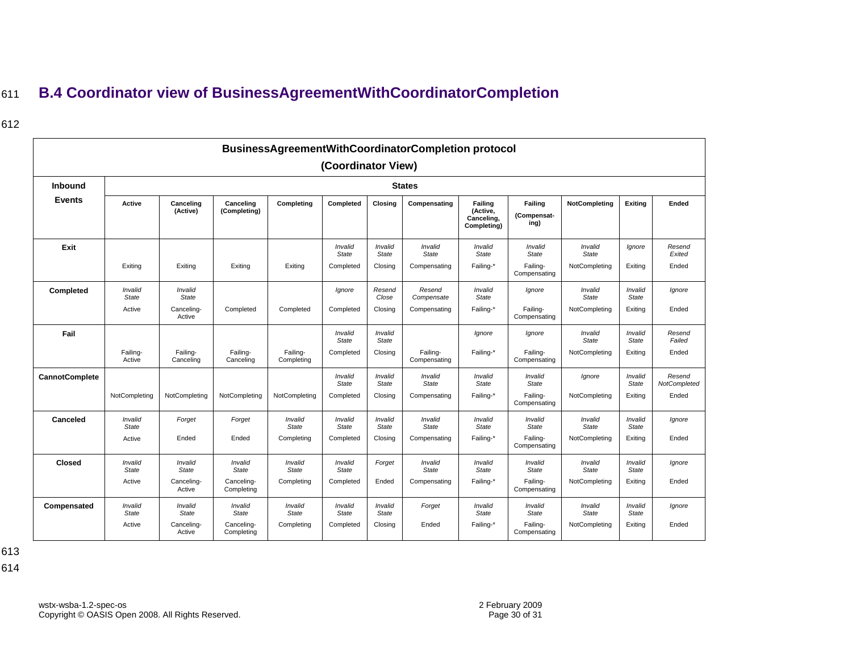# <sup>611</sup>**B.4 Coordinator view of BusinessAgreementWithCoordinatorCompletion**

### 612

| BusinessAgreementWithCoordinatorCompletion protocol |                    |                       |                           |                        |                         |                         |                          |                                                  |                                |                         |                         |                        |
|-----------------------------------------------------|--------------------|-----------------------|---------------------------|------------------------|-------------------------|-------------------------|--------------------------|--------------------------------------------------|--------------------------------|-------------------------|-------------------------|------------------------|
| (Coordinator View)                                  |                    |                       |                           |                        |                         |                         |                          |                                                  |                                |                         |                         |                        |
| <b>Inbound</b>                                      | <b>States</b>      |                       |                           |                        |                         |                         |                          |                                                  |                                |                         |                         |                        |
| <b>Events</b>                                       | Active             | Canceling<br>(Active) | Canceling<br>(Completing) | Completing             | Completed               | Closing                 | Compensating             | Failing<br>(Active,<br>Canceling,<br>Completing) | Failing<br>(Compensat-<br>ing) | <b>NotCompleting</b>    | Exiting                 | Ended                  |
| Exit                                                |                    |                       |                           |                        | Invalid<br><b>State</b> | Invalid<br><b>State</b> | Invalid<br><b>State</b>  | Invalid<br>State                                 | Invalid<br><b>State</b>        | Invalid<br>State        | lgnore                  | Resend<br>Exited       |
|                                                     | Exiting            | Exiting               | Exiting                   | Exiting                | Completed               | Closing                 | Compensating             | Failing-*                                        | Failing-<br>Compensating       | NotCompleting           | Exiting                 | Ended                  |
| Completed                                           | Invalid<br>State   | Invalid<br>State      |                           |                        | Ignore                  | Resend<br>Close         | Resend<br>Compensate     | Invalid<br>State                                 | Ignore                         | Invalid<br>State        | Invalid<br>State        | lgnore                 |
|                                                     | Active             | Canceling-<br>Active  | Completed                 | Completed              | Completed               | Closing                 | Compensating             | Failing-*                                        | Failing-<br>Compensating       | NotCompleting           | Exiting                 | Ended                  |
| Fail                                                |                    |                       |                           |                        | Invalid<br>State        | Invalid<br><b>State</b> |                          | lgnore                                           | Ignore                         | Invalid<br>State        | Invalid<br><b>State</b> | Resend<br>Failed       |
|                                                     | Failing-<br>Active | Failing-<br>Canceling | Failing-<br>Canceling     | Failing-<br>Completing | Completed               | Closing                 | Failing-<br>Compensating | Failing-*                                        | Failing-<br>Compensating       | NotCompleting           | Exiting                 | Ended                  |
| <b>CannotComplete</b>                               |                    |                       |                           |                        | Invalid<br><b>State</b> | Invalid<br>State        | Invalid<br><b>State</b>  | Invalid<br>State                                 | Invalid<br><b>State</b>        | Ignore                  | Invalid<br><b>State</b> | Resend<br>NotCompleted |
|                                                     | NotCompleting      | NotCompleting         | NotCompleting             | NotCompleting          | Completed               | Closing                 | Compensating             | Failing-*                                        | Failing-<br>Compensating       | NotCompleting           | Exiting                 | Ended                  |
| Canceled                                            | Invalid<br>State   | Forget                | Forget                    | Invalid<br>State       | Invalid<br><b>State</b> | Invalid<br><b>State</b> | Invalid<br><b>State</b>  | Invalid<br>State                                 | Invalid<br><b>State</b>        | Invalid<br>State        | Invalid<br><b>State</b> | lgnore                 |
|                                                     | Active             | Ended                 | Ended                     | Completing             | Completed               | Closing                 | Compensating             | Failing-*                                        | Failing-<br>Compensating       | NotCompleting           | Exiting                 | Ended                  |
| <b>Closed</b>                                       | Invalid<br>State   | Invalid<br>State      | Invalid<br>State          | Invalid<br>State       | Invalid<br><b>State</b> | Forget                  | Invalid<br><b>State</b>  | Invalid<br>State                                 | Invalid<br><b>State</b>        | Invalid<br><b>State</b> | Invalid<br>State        | lanore                 |
|                                                     | Active             | Canceling-<br>Active  | Canceling-<br>Completing  | Completing             | Completed               | Ended                   | Compensating             | Failing-*                                        | Failing-<br>Compensating       | NotCompleting           | Exiting                 | Ended                  |
| Compensated                                         | Invalid<br>State   | Invalid<br>State      | Invalid<br>State          | Invalid<br>State       | Invalid<br><b>State</b> | Invalid<br>State        | Forget                   | Invalid<br>State                                 | Invalid<br><b>State</b>        | Invalid<br>State        | Invalid<br>State        | lgnore                 |
|                                                     | Active             | Canceling-<br>Active  | Canceling-<br>Completing  | Completing             | Completed               | Closing                 | Ended                    | Failing-*                                        | Failing-<br>Compensating       | NotCompleting           | Exiting                 | Ended                  |

<span id="page-29-0"></span>613